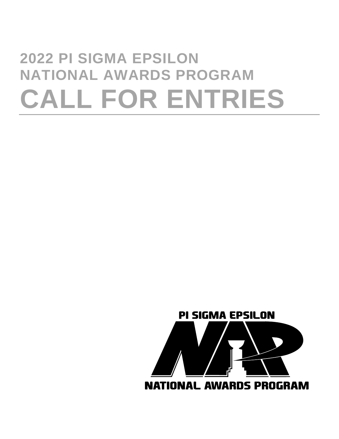# <span id="page-0-0"></span>**2022 PI SIGMA EPSILON NATIONAL AWARDS PROGRAM CALL FOR ENTRIES**

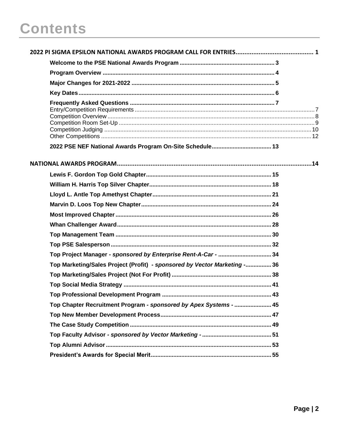## **Contents**

| Top Project Manager - sponsored by Enterprise Rent-A-Car -  34            |  |
|---------------------------------------------------------------------------|--|
| Top Marketing/Sales Project (Profit) - sponsored by Vector Marketing - 36 |  |
|                                                                           |  |
|                                                                           |  |
|                                                                           |  |
| Top Chapter Recruitment Program - sponsored by Apex Systems -  45         |  |
|                                                                           |  |
|                                                                           |  |
|                                                                           |  |
|                                                                           |  |
|                                                                           |  |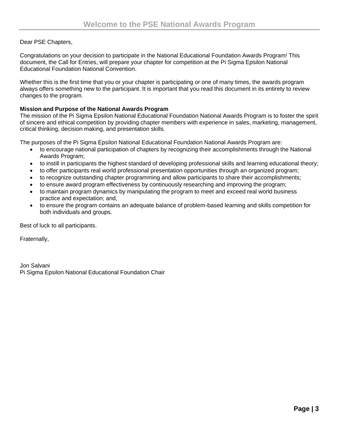#### <span id="page-2-0"></span>Dear PSE Chapters,

Congratulations on your decision to participate in the National Educational Foundation Awards Program! This document, the Call for Entries, will prepare your chapter for competition at the Pi Sigma Epsilon National Educational Foundation National Convention.

Whether this is the first time that you or your chapter is participating or one of many times, the awards program always offers something new to the participant. It is important that you read this document in its entirety to review changes to the program.

#### **Mission and Purpose of the National Awards Program**

The mission of the Pi Sigma Epsilon National Educational Foundation National Awards Program is to foster the spirit of sincere and ethical competition by providing chapter members with experience in sales, marketing, management, critical thinking, decision making, and presentation skills.

The purposes of the Pi Sigma Epsilon National Educational Foundation National Awards Program are:

- to encourage national participation of chapters by recognizing their accomplishments through the National Awards Program;
- to instill in participants the highest standard of developing professional skills and learning educational theory;
- to offer participants real world professional presentation opportunities through an organized program;
- to recognize outstanding chapter programming and allow participants to share their accomplishments;
- to ensure award program effectiveness by continuously researching and improving the program;
- to maintain program dynamics by manipulating the program to meet and exceed real world business practice and expectation; and,
- to ensure the program contains an adequate balance of problem-based learning and skills competition for both individuals and groups.

Best of luck to all participants.

Fraternally,

Jon Salvani Pi Sigma Epsilon National Educational Foundation Chair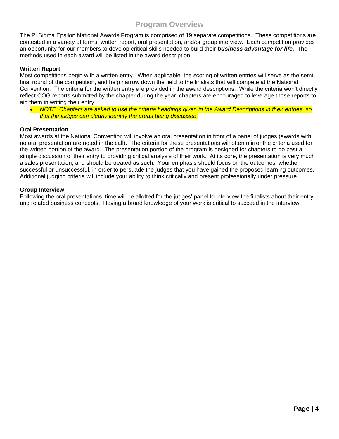<span id="page-3-0"></span>The Pi Sigma Epsilon National Awards Program is comprised of 19 separate competitions. These competitions are contested in a variety of forms: written report, oral presentation, and/or group interview. Each competition provides an opportunity for our members to develop critical skills needed to build their *business advantage for life*. The methods used in each award will be listed in the award description.

#### **Written Report**

Most competitions begin with a written entry. When applicable, the scoring of written entries will serve as the semifinal round of the competition, and help narrow down the field to the finalists that will compete at the National Convention. The criteria for the written entry are provided in the award descriptions. While the criteria won't directly reflect COG reports submitted by the chapter during the year, chapters are encouraged to leverage those reports to aid them in writing their entry.

• *NOTE: Chapters are asked to use the criteria headings given in the Award Descriptions in their entries, so that the judges can clearly identify the areas being discussed.*

#### **Oral Presentation**

Most awards at the National Convention will involve an oral presentation in front of a panel of judges (awards with no oral presentation are noted in the call). The criteria for these presentations will often mirror the criteria used for the written portion of the award. The presentation portion of the program is designed for chapters to go past a simple discussion of their entry to providing critical analysis of their work. At its core, the presentation is very much a sales presentation, and should be treated as such. Your emphasis should focus on the outcomes, whether successful or unsuccessful, in order to persuade the judges that you have gained the proposed learning outcomes. Additional judging criteria will include your ability to think critically and present professionally under pressure.

#### **Group Interview**

Following the oral presentations, time will be allotted for the judges' panel to interview the finalists about their entry and related business concepts. Having a broad knowledge of your work is critical to succeed in the interview.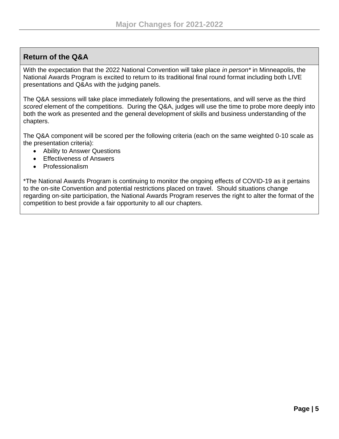## <span id="page-4-0"></span>**Return of the Q&A**

With the expectation that the 2022 National Convention will take place *in person\** in Minneapolis, the National Awards Program is excited to return to its traditional final round format including both LIVE presentations and Q&As with the judging panels.

The Q&A sessions will take place immediately following the presentations, and will serve as the third *scored* element of the competitions. During the Q&A, judges will use the time to probe more deeply into both the work as presented and the general development of skills and business understanding of the chapters.

The Q&A component will be scored per the following criteria (each on the same weighted 0-10 scale as the presentation criteria):

- Ability to Answer Questions
- Effectiveness of Answers
- Professionalism

\*The National Awards Program is continuing to monitor the ongoing effects of COVID-19 as it pertains to the on-site Convention and potential restrictions placed on travel. Should situations change regarding on-site participation, the National Awards Program reserves the right to alter the format of the competition to best provide a fair opportunity to all our chapters.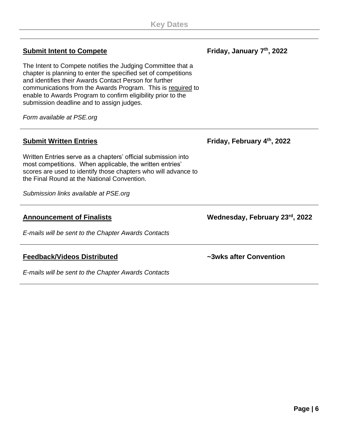## <span id="page-5-0"></span>**Submit Intent to Compete**

The Intent to Compete notifies the Judging Committee that a chapter is planning to enter the specified set of competitions and identifies their Awards Contact Person for further communications from the Awards Program. This is required to enable to Awards Program to confirm eligibility prior to the submission deadline and to assign judges.

*Form available at PSE.org*

## **Submit Written Entries**

Written Entries serve as a chapters' official submission into most competitions. When applicable, the written entries' scores are used to identify those chapters who will advance to the Final Round at the National Convention.

*Submission links available at PSE.org*

## **Announcement of Finalists**

*E-mails will be sent to the Chapter Awards Contacts*

#### **Feedback/Videos Distributed**

*E-mails will be sent to the Chapter Awards Contacts*

**Friday, February 4 th, 2022**

**Wednesday, February 23rd, 2022**

**~3wks after Convention**

## **Friday, January 7 th, 2022**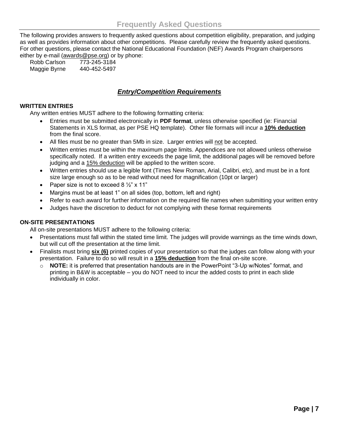<span id="page-6-0"></span>The following provides answers to frequently asked questions about competition eligibility, preparation, and judging as well as provides information about other competitions. Please carefully review the frequently asked questions. For other questions, please contact the National Educational Foundation (NEF) Awards Program chairpersons either by e-mail [\(awards@pse.org\)](mailto:awards@pse.org) or by phone:

Robb Carlson 773-245-3184 Maggie Byrne 440-452-5497

## *Entry/Competition Requirements*

#### <span id="page-6-1"></span>**WRITTEN ENTRIES**

Any written entries MUST adhere to the following formatting criteria:

- Entries must be submitted electronically in **PDF format**, unless otherwise specified (ie: Financial Statements in XLS format, as per PSE HQ template). Other file formats will incur a **10% deduction** from the final score.
- All files must be no greater than 5Mb in size. Larger entries will not be accepted.
- Written entries must be within the maximum page limits. Appendices are not allowed unless otherwise specifically noted. If a written entry exceeds the page limit, the additional pages will be removed before judging and a 15% deduction will be applied to the written score.
- Written entries should use a legible font (Times New Roman, Arial, Calibri, etc), and must be in a font size large enough so as to be read without need for magnification (10pt or larger)
- Paper size is not to exceed  $8\frac{1}{2}$ " x 11"
- Margins must be at least 1" on all sides (top, bottom, left and right)
- Refer to each award for further information on the required file names when submitting your written entry
- Judges have the discretion to deduct for not complying with these format requirements

#### **ON-SITE PRESENTATIONS**

All on-site presentations MUST adhere to the following criteria:

- Presentations must fall within the stated time limit. The judges will provide warnings as the time winds down, but will cut off the presentation at the time limit.
- Finalists must bring **six (6)** printed copies of your presentation so that the judges can follow along with your presentation. Failure to do so will result in a **15% deduction** from the final on-site score.
	- o **NOTE:** it is preferred that presentation handouts are in the PowerPoint "3-Up w/Notes" format, and printing in B&W is acceptable – you do NOT need to incur the added costs to print in each slide individually in color.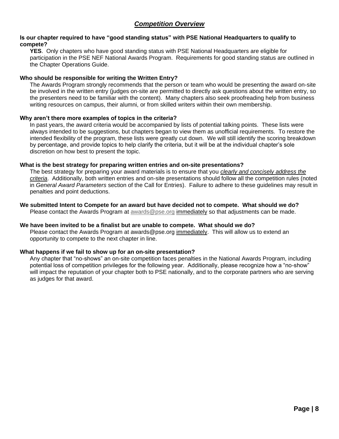#### <span id="page-7-0"></span>**Is our chapter required to have "good standing status" with PSE National Headquarters to qualify to compete?**

**YES**. Only chapters who have good standing status with PSE National Headquarters are eligible for participation in the PSE NEF National Awards Program. Requirements for good standing status are outlined in the Chapter Operations Guide.

#### **Who should be responsible for writing the Written Entry?**

The Awards Program strongly recommends that the person or team who would be presenting the award on-site be involved in the written entry (judges on-site are permitted to directly ask questions about the written entry, so the presenters need to be familiar with the content). Many chapters also seek proofreading help from business writing resources on campus, their alumni, or from skilled writers within their own membership.

#### **Why aren't there more examples of topics in the criteria?**

In past years, the award criteria would be accompanied by lists of potential talking points. These lists were always intended to be suggestions, but chapters began to view them as unofficial requirements. To restore the intended flexibility of the program, these lists were greatly cut down. We will still identify the scoring breakdown by percentage, and provide topics to help clarify the criteria, but it will be at the individual chapter's sole discretion on how best to present the topic.

#### **What is the best strategy for preparing written entries and on-site presentations?**

The best strategy for preparing your award materials is to ensure that you *clearly and concisely address the criteria*. Additionally, both written entries and on-site presentations should follow all the competition rules (noted in *General Award Parameters* section of the Call for Entries). Failure to adhere to these guidelines may result in penalties and point deductions.

**We submitted Intent to Compete for an award but have decided not to compete. What should we do?** Please contact the Awards Program at [awards@pse.org](mailto:awards@pse.org) immediately so that adjustments can be made.

#### **We have been invited to be a finalist but are unable to compete. What should we do?**

Please contact the Awards Program at awards@pse.org immediately. This will allow us to extend an opportunity to compete to the next chapter in line.

#### **What happens if we fail to show up for an on-site presentation?**

Any chapter that "no-shows" an on-site competition faces penalties in the National Awards Program, including potential loss of competition privileges for the following year. Additionally, please recognize how a "no-show" will impact the reputation of your chapter both to PSE nationally, and to the corporate partners who are serving as judges for that award.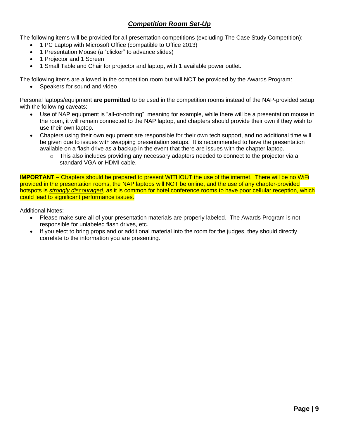## *Competition Room Set-Up*

<span id="page-8-0"></span>The following items will be provided for all presentation competitions (excluding The Case Study Competition):

- 1 PC Laptop with Microsoft Office (compatible to Office 2013)
- 1 Presentation Mouse (a "clicker" to advance slides)
- 1 Projector and 1 Screen
- 1 Small Table and Chair for projector and laptop, with 1 available power outlet.

The following items are allowed in the competition room but will NOT be provided by the Awards Program:

Speakers for sound and video

Personal laptops/equipment **are permitted** to be used in the competition rooms instead of the NAP-provided setup, with the following caveats:

- Use of NAP equipment is "all-or-nothing", meaning for example, while there will be a presentation mouse in the room, it will remain connected to the NAP laptop, and chapters should provide their own if they wish to use their own laptop.
- Chapters using their own equipment are responsible for their own tech support, and no additional time will be given due to issues with swapping presentation setups. It is recommended to have the presentation available on a flash drive as a backup in the event that there are issues with the chapter laptop.
	- $\circ$  This also includes providing any necessary adapters needed to connect to the projector via a standard VGA or HDMI cable.

**IMPORTANT** – Chapters should be prepared to present WITHOUT the use of the internet. There will be no WiFi provided in the presentation rooms, the NAP laptops will NOT be online, and the use of any chapter-provided hotspots is *strongly discouraged*, as it is common for hotel conference rooms to have poor cellular reception, which could lead to significant performance issues.

Additional Notes:

- Please make sure all of your presentation materials are properly labeled. The Awards Program is not responsible for unlabeled flash drives, etc.
- If you elect to bring props and or additional material into the room for the judges, they should directly correlate to the information you are presenting.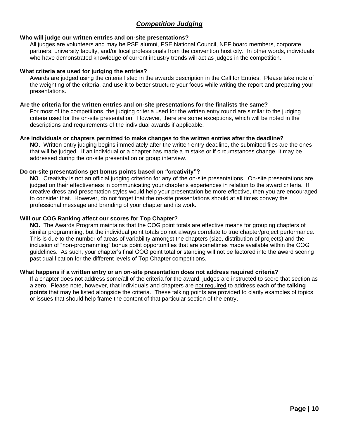## *Competition Judging*

#### <span id="page-9-0"></span>**Who will judge our written entries and on-site presentations?**

All judges are volunteers and may be PSE alumni, PSE National Council, NEF board members, corporate partners, university faculty, and/or local professionals from the convention host city. In other words, individuals who have demonstrated knowledge of current industry trends will act as judges in the competition.

#### **What criteria are used for judging the entries?**

Awards are judged using the criteria listed in the awards description in the Call for Entries. Please take note of the weighting of the criteria, and use it to better structure your focus while writing the report and preparing your presentations.

#### **Are the criteria for the written entries and on-site presentations for the finalists the same?**

For most of the competitions, the judging criteria used for the written entry round are similar to the judging criteria used for the on-site presentation. However, there are some exceptions, which will be noted in the descriptions and requirements of the individual awards if applicable.

#### **Are individuals or chapters permitted to make changes to the written entries after the deadline?**

**NO**. Written entry judging begins immediately after the written entry deadline, the submitted files are the ones that will be judged. If an individual or a chapter has made a mistake or if circumstances change, it may be addressed during the on-site presentation or group interview.

#### **Do on-site presentations get bonus points based on "creativity"?**

**NO**. Creativity is not an official judging criterion for any of the on-site presentations. On-site presentations are judged on their effectiveness in communicating your chapter's experiences in relation to the award criteria. If creative dress and presentation styles would help your presentation be more effective, then you are encouraged to consider that. However, do not forget that the on-site presentations should at all times convey the professional message and branding of your chapter and its work.

#### **Will our COG Ranking affect our scores for Top Chapter?**

**NO.** The Awards Program maintains that the COG point totals are effective means for grouping chapters of similar programming, but the individual point totals do not always correlate to true chapter/project performance. This is due to the number of areas of variability amongst the chapters (size, distribution of projects) and the inclusion of "non-programming" bonus point opportunities that are sometimes made available within the COG guidelines. As such, your chapter's final COG point total or standing will not be factored into the award scoring past qualification for the different levels of Top Chapter competitions.

#### **What happens if a written entry or an on-site presentation does not address required criteria?**

If a chapter does not address some/all of the criteria for the award, judges are instructed to score that section as a zero. Please note, however, that individuals and chapters are not required to address each of the **talking points** that may be listed alongside the criteria. These talking points are provided to clarify examples of topics or issues that should help frame the content of that particular section of the entry.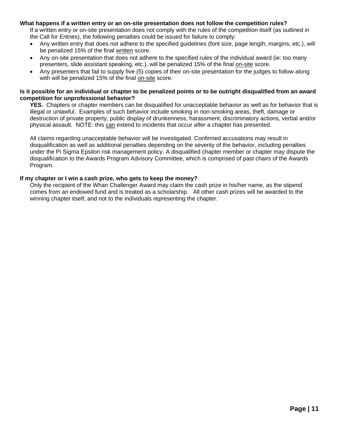#### **What happens if a written entry or an on-site presentation does not follow the competition rules?**

If a written entry or on-site presentation does not comply with the rules of the competition itself (as outlined in the Call for Entries), the following penalties could be issued for failure to comply:

- Any written entry that does not adhere to the specified quidelines (font size, page length, margins, etc.), will be penalized 15% of the final written score.
- Any on-site presentation that does not adhere to the specified rules of the individual award (ie: too many presenters, slide assistant speaking, etc.), will be penalized 15% of the final on-site score.
- Any presenters that fail to supply five (5) copies of their on-site presentation for the judges to follow along with will be penalized 15% of the final on-site score.

#### **Is it possible for an individual or chapter to be penalized points or to be outright disqualified from an award competition for unprofessional behavior?**

**YES.** Chapters or chapter members can be disqualified for unacceptable behavior as well as for behavior that is illegal or unlawful. Examples of such behavior include smoking in non-smoking areas, theft, damage or destruction of private property, public display of drunkenness, harassment, discriminatory actions, verbal and/or physical assault. NOTE: this can extend to incidents that occur *after* a chapter has presented.

All claims regarding unacceptable behavior will be investigated. Confirmed accusations may result in disqualification as well as additional penalties depending on the severity of the behavior, including penalties under the Pi Sigma Epsilon risk management policy. A disqualified chapter member or chapter may dispute the disqualification to the Awards Program Advisory Committee, which is comprised of past chairs of the Awards Program.

#### **If my chapter or I win a cash prize, who gets to keep the money?**

Only the recipient of the Whan Challenger Award may claim the cash prize in his/her name, as the stipend comes from an endowed fund and is treated as a scholarship. All other cash prizes will be awarded to the winning chapter itself, and not to the individuals representing the chapter.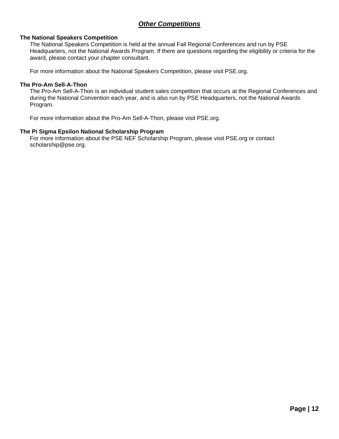### *Other Competitions*

#### <span id="page-11-0"></span>**The National Speakers Competition**

The National Speakers Competition is held at the annual Fall Regional Conferences and run by PSE Headquarters, not the National Awards Program. If there are questions regarding the eligibility or criteria for the award, please contact your chapter consultant.

For more information about the National Speakers Competition, please visit PSE.org.

#### **The Pro-Am Sell-A-Thon**

The Pro-Am Sell-A-Thon is an individual student sales competition that occurs at the Regional Conferences and during the National Convention each year, and is also run by PSE Headquarters, not the National Awards Program.

For more information about the Pro-Am Sell-A-Thon, please visit PSE.org.

#### **The Pi Sigma Epsilon National Scholarship Program**

For more information about the PSE NEF Scholarship Program, please visit PSE.org or contact scholarship@pse.org.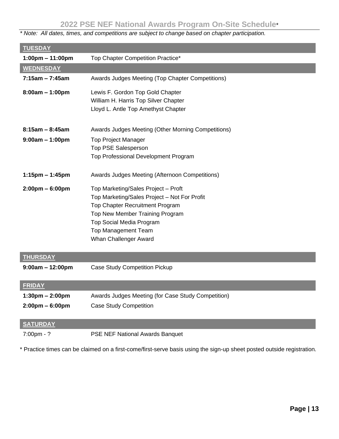## **2022 PSE NEF National Awards Program On-Site Schedule**\*

<span id="page-12-0"></span>*\* Note: All dates, times, and competitions are subject to change based on chapter participation.*

| <b>TUESDAY</b>                     |                                                                                     |
|------------------------------------|-------------------------------------------------------------------------------------|
|                                    | Top Chapter Competition Practice*                                                   |
| $1:00 \text{pm} - 11:00 \text{pm}$ |                                                                                     |
| <b>WEDNESDAY</b>                   |                                                                                     |
| $7:15$ am - $7:45$ am              | Awards Judges Meeting (Top Chapter Competitions)                                    |
| $8:00am - 1:00pm$                  | Lewis F. Gordon Top Gold Chapter                                                    |
|                                    | William H. Harris Top Silver Chapter                                                |
|                                    | Lloyd L. Antle Top Amethyst Chapter                                                 |
|                                    |                                                                                     |
| $8:15am - 8:45am$                  | Awards Judges Meeting (Other Morning Competitions)                                  |
| $9:00am - 1:00pm$                  | <b>Top Project Manager</b>                                                          |
|                                    | Top PSE Salesperson                                                                 |
|                                    | Top Professional Development Program                                                |
| $1:15$ pm – 1:45pm                 | Awards Judges Meeting (Afternoon Competitions)                                      |
|                                    |                                                                                     |
| $2:00 \text{pm} - 6:00 \text{pm}$  | Top Marketing/Sales Project - Proft<br>Top Marketing/Sales Project - Not For Profit |
|                                    | Top Chapter Recruitment Program                                                     |
|                                    | Top New Member Training Program                                                     |
|                                    | Top Social Media Program                                                            |
|                                    | <b>Top Management Team</b>                                                          |
|                                    | Whan Challenger Award                                                               |
|                                    |                                                                                     |
| <b>THURSDAY</b>                    |                                                                                     |
| $9:00am - 12:00pm$                 | <b>Case Study Competition Pickup</b>                                                |
| <b>FRIDAY</b>                      |                                                                                     |
| $1:30 \text{pm} - 2:00 \text{pm}$  | Awards Judges Meeting (for Case Study Competition)                                  |
| $2:00 \text{pm} - 6:00 \text{pm}$  | <b>Case Study Competition</b>                                                       |
|                                    |                                                                                     |
| <b>SATURDAY</b>                    |                                                                                     |
| $7:00 \text{pm} - ?$               | PSE NEF National Awards Banquet                                                     |

\* Practice times can be claimed on a first-come/first-serve basis using the sign-up sheet posted outside registration.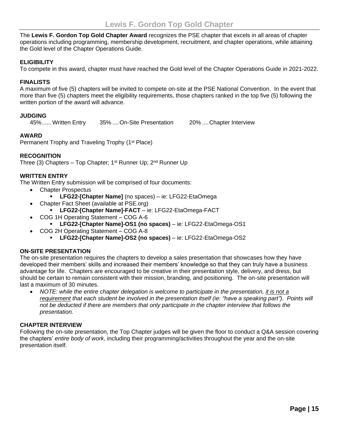<span id="page-14-0"></span>The **Lewis F. Gordon Top Gold Chapter Award** recognizes the PSE chapter that excels in all areas of chapter operations including programming, membership development, recruitment, and chapter operations, while attaining the Gold level of the Chapter Operations Guide.

#### **ELIGIBILITY**

To compete in this award, chapter must have reached the Gold level of the Chapter Operations Guide in 2021-2022.

#### **FINALISTS**

A maximum of five (5) chapters will be invited to compete on-site at the PSE National Convention. In the event that more than five (5) chapters meet the eligibility requirements, those chapters ranked in the top five (5) following the written portion of the award will advance.

#### **JUDGING**

45%...... Written Entry 35% ....On-Site Presentation 20% ....Chapter Interview

#### **AWARD**

Permanent Trophy and Traveling Trophy (1<sup>st</sup> Place)

#### **RECOGNITION**

Three (3) Chapters – Top Chapter; 1<sup>st</sup> Runner Up; 2<sup>nd</sup> Runner Up

#### **WRITTEN ENTRY**

The Written Entry submission will be comprised of four documents:

- Chapter Prospectus
	- **LFG22-[Chapter Name]** (no spaces) ie: LFG22-EtaOmega
- Chapter Fact Sheet (available at PSE.org)
	- **LFG22-[Chapter Name]-FACT**  ie: LFG22-EtaOmega-FACT
- COG 1H Operating Statement COG A-6
	- **LFG22-[Chapter Name]-OS1 (no spaces)**  ie: LFG22-EtaOmega-OS1
- COG 2H Operating Statement COG A-8
	- **LFG22-[Chapter Name]-OS2 (no spaces)**  ie: LFG22-EtaOmega-OS2

#### **ON-SITE PRESENTATION**

The on-site presentation requires the chapters to develop a sales presentation that showcases how they have developed their members' skills and increased their members' knowledge so that they can truly have a business advantage for life. Chapters are encouraged to be creative in their presentation style, delivery, and dress, but should be certain to remain consistent with their mission, branding, and positioning. The on-site presentation will last a maximum of 30 minutes.

• *NOTE: while the entire chapter delegation is welcome to participate in the presentation, it is not a requirement that each student be involved in the presentation itself (ie: "have a speaking part"). Points will not be deducted if there are members that only participate in the chapter interview that follows the presentation.*

#### **CHAPTER INTERVIEW**

Following the on-site presentation, the Top Chapter judges will be given the floor to conduct a Q&A session covering the chapters' *entire body of work*, including their programming/activities throughout the year and the on-site presentation itself.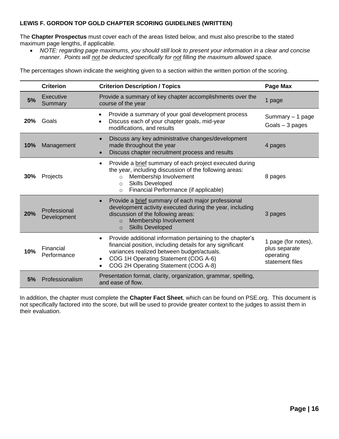#### **LEWIS F. GORDON TOP GOLD CHAPTER SCORING GUIDELINES (WRITTEN)**

The **Chapter Prospectus** must cover each of the areas listed below, and must also prescribe to the stated maximum page lengths, if applicable.

• *NOTE: regarding page maximums, you should still look to present your information in a clear and concise manner. Points will not be deducted specifically for not filling the maximum allowed space.*

The percentages shown indicate the weighting given to a section within the written portion of the scoring.

|     | <b>Criterion</b>            | <b>Criterion Description / Topics</b>                                                                                                                                                                                                                                           | <b>Page Max</b>                                                      |
|-----|-----------------------------|---------------------------------------------------------------------------------------------------------------------------------------------------------------------------------------------------------------------------------------------------------------------------------|----------------------------------------------------------------------|
| 5%  | Executive<br>Summary        | Provide a summary of key chapter accomplishments over the<br>course of the year                                                                                                                                                                                                 | 1 page                                                               |
| 20% | Goals                       | Provide a summary of your goal development process<br>Discuss each of your chapter goals, mid-year<br>$\bullet$<br>modifications, and results                                                                                                                                   | Summary $-1$ page<br>Goals $-3$ pages                                |
| 10% | Management                  | Discuss any key administrative changes/development<br>$\bullet$<br>made throughout the year<br>Discuss chapter recruitment process and results                                                                                                                                  | 4 pages                                                              |
| 30% | Projects                    | Provide a brief summary of each project executed during<br>$\bullet$<br>the year, including discussion of the following areas:<br>Membership Involvement<br>$\Omega$<br><b>Skills Developed</b><br>$\circ$<br>Financial Performance (if applicable)<br>$\circ$                  | 8 pages                                                              |
| 20% | Professional<br>Development | Provide a brief summary of each major professional<br>$\bullet$<br>development activity executed during the year, including<br>discussion of the following areas:<br>Membership Involvement<br>$\circ$<br><b>Skills Developed</b><br>$\circ$                                    | 3 pages                                                              |
| 10% | Financial<br>Performance    | Provide additional information pertaining to the chapter's<br>$\bullet$<br>financial position, including details for any significant<br>variances realized between budget/actuals.<br>COG 1H Operating Statement (COG A-6)<br>$\bullet$<br>COG 2H Operating Statement (COG A-8) | 1 page (for notes),<br>plus separate<br>operating<br>statement files |
| 5%  | Professionalism             | Presentation format, clarity, organization, grammar, spelling,<br>and ease of flow.                                                                                                                                                                                             |                                                                      |

In addition, the chapter must complete the **Chapter Fact Sheet**, which can be found on PSE.org. This document is not specifically factored into the score, but will be used to provide greater context to the judges to assist them in their evaluation.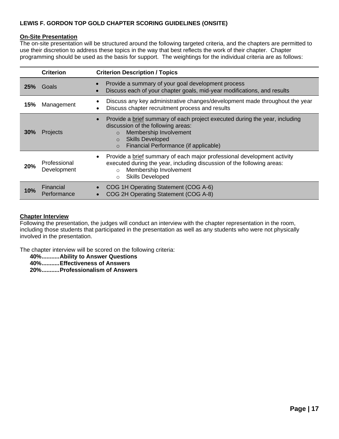#### **LEWIS F. GORDON TOP GOLD CHAPTER SCORING GUIDELINES (ONSITE)**

#### **On-Site Presentation**

The on-site presentation will be structured around the following targeted criteria, and the chapters are permitted to use their discretion to address these topics in the way that best reflects the work of their chapter. Chapter programming should be used as the basis for support. The weightings for the individual criteria are as follows:

|     | <b>Criterion</b>            | <b>Criterion Description / Topics</b>                                                                                                                                                                                                                            |
|-----|-----------------------------|------------------------------------------------------------------------------------------------------------------------------------------------------------------------------------------------------------------------------------------------------------------|
| 25% | Goals                       | Provide a summary of your goal development process<br>Discuss each of your chapter goals, mid-year modifications, and results                                                                                                                                    |
| 15% | Management                  | Discuss any key administrative changes/development made throughout the year<br>٠<br>Discuss chapter recruitment process and results                                                                                                                              |
| 30% | <b>Projects</b>             | Provide a brief summary of each project executed during the year, including<br>$\bullet$<br>discussion of the following areas:<br>Membership Involvement<br>$\Omega$<br><b>Skills Developed</b><br>$\Omega$<br>Financial Performance (if applicable)<br>$\Omega$ |
| 20% | Professional<br>Development | Provide a brief summary of each major professional development activity<br>$\bullet$<br>executed during the year, including discussion of the following areas:<br>Membership Involvement<br>$\circ$<br><b>Skills Developed</b><br>$\circ$                        |
| 10% | Financial<br>Performance    | COG 1H Operating Statement (COG A-6)<br>$\bullet$<br>COG 2H Operating Statement (COG A-8)<br>$\bullet$                                                                                                                                                           |

#### **Chapter Interview**

Following the presentation, the judges will conduct an interview with the chapter representation in the room, including those students that participated in the presentation as well as any students who were not physically involved in the presentation.

The chapter interview will be scored on the following criteria:

**40%...........Ability to Answer Questions**

**40%...........Effectiveness of Answers**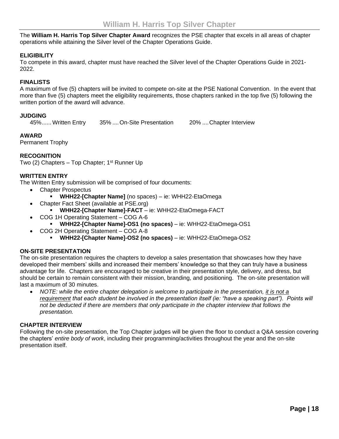<span id="page-17-0"></span>The **William H. Harris Top Silver Chapter Award** recognizes the PSE chapter that excels in all areas of chapter operations while attaining the Silver level of the Chapter Operations Guide.

#### **ELIGIBILITY**

To compete in this award, chapter must have reached the Silver level of the Chapter Operations Guide in 2021- 2022.

#### **FINALISTS**

A maximum of five (5) chapters will be invited to compete on-site at the PSE National Convention. In the event that more than five (5) chapters meet the eligibility requirements, those chapters ranked in the top five (5) following the written portion of the award will advance.

#### **JUDGING**

45%...... Written Entry 35% ....On-Site Presentation 20% ....Chapter Interview

#### **AWARD**

Permanent Trophy

#### **RECOGNITION**

Two (2) Chapters – Top Chapter; 1<sup>st</sup> Runner Up

#### **WRITTEN ENTRY**

The Written Entry submission will be comprised of four documents:

- Chapter Prospectus
	- **WHH22-[Chapter Name]** (no spaces) ie: WHH22-EtaOmega
- Chapter Fact Sheet (available at PSE.org)
	- **WHH22-[Chapter Name]-FACT**  ie: WHH22-EtaOmega-FACT
- COG 1H Operating Statement COG A-6
	- **WHH22-[Chapter Name]-OS1 (no spaces)**  ie: WHH22-EtaOmega-OS1
- COG 2H Operating Statement COG A-8
	- **WHH22-[Chapter Name]-OS2 (no spaces)**  ie: WHH22-EtaOmega-OS2

#### **ON-SITE PRESENTATION**

The on-site presentation requires the chapters to develop a sales presentation that showcases how they have developed their members' skills and increased their members' knowledge so that they can truly have a business advantage for life. Chapters are encouraged to be creative in their presentation style, delivery, and dress, but should be certain to remain consistent with their mission, branding, and positioning. The on-site presentation will last a maximum of 30 minutes.

• *NOTE: while the entire chapter delegation is welcome to participate in the presentation, it is not a requirement that each student be involved in the presentation itself (ie: "have a speaking part"). Points will not be deducted if there are members that only participate in the chapter interview that follows the presentation.*

#### **CHAPTER INTERVIEW**

Following the on-site presentation, the Top Chapter judges will be given the floor to conduct a Q&A session covering the chapters' *entire body of work*, including their programming/activities throughout the year and the on-site presentation itself.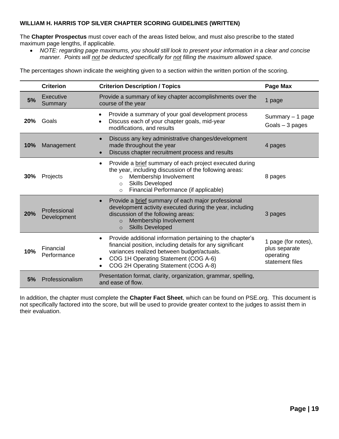#### **WILLIAM H. HARRIS TOP SILVER CHAPTER SCORING GUIDELINES (WRITTEN)**

The **Chapter Prospectus** must cover each of the areas listed below, and must also prescribe to the stated maximum page lengths, if applicable.

• *NOTE: regarding page maximums, you should still look to present your information in a clear and concise manner. Points will not be deducted specifically for not filling the maximum allowed space.*

The percentages shown indicate the weighting given to a section within the written portion of the scoring.

|     | <b>Criterion</b>            | <b>Criterion Description / Topics</b>                                                                                                                                                                                                                                           | Page Max                                                             |
|-----|-----------------------------|---------------------------------------------------------------------------------------------------------------------------------------------------------------------------------------------------------------------------------------------------------------------------------|----------------------------------------------------------------------|
| 5%  | Executive<br>Summary        | Provide a summary of key chapter accomplishments over the<br>course of the year                                                                                                                                                                                                 | 1 page                                                               |
| 20% | Goals                       | Provide a summary of your goal development process<br>Discuss each of your chapter goals, mid-year<br>$\bullet$<br>modifications, and results                                                                                                                                   | Summary - 1 page<br>Goals $-3$ pages                                 |
| 10% | Management                  | Discuss any key administrative changes/development<br>$\bullet$<br>made throughout the year<br>Discuss chapter recruitment process and results                                                                                                                                  | 4 pages                                                              |
| 30% | Projects                    | Provide a brief summary of each project executed during<br>$\bullet$<br>the year, including discussion of the following areas:<br>Membership Involvement<br>$\Omega$<br><b>Skills Developed</b><br>$\circ$<br>Financial Performance (if applicable)<br>$\circ$                  | 8 pages                                                              |
| 20% | Professional<br>Development | Provide a brief summary of each major professional<br>$\bullet$<br>development activity executed during the year, including<br>discussion of the following areas:<br>Membership Involvement<br>$\Omega$<br><b>Skills Developed</b><br>$\circ$                                   | 3 pages                                                              |
| 10% | Financial<br>Performance    | Provide additional information pertaining to the chapter's<br>$\bullet$<br>financial position, including details for any significant<br>variances realized between budget/actuals.<br>COG 1H Operating Statement (COG A-6)<br>$\bullet$<br>COG 2H Operating Statement (COG A-8) | 1 page (for notes),<br>plus separate<br>operating<br>statement files |
| 5%  | Professionalism             | Presentation format, clarity, organization, grammar, spelling,<br>and ease of flow.                                                                                                                                                                                             |                                                                      |

In addition, the chapter must complete the **Chapter Fact Sheet**, which can be found on PSE.org. This document is not specifically factored into the score, but will be used to provide greater context to the judges to assist them in their evaluation.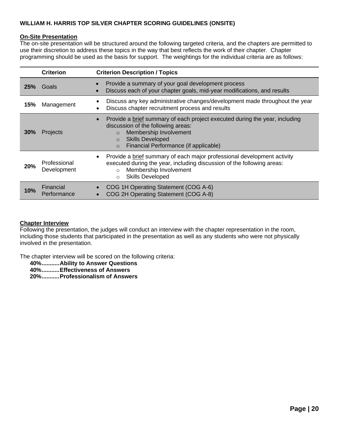#### **WILLIAM H. HARRIS TOP SILVER CHAPTER SCORING GUIDELINES (ONSITE)**

#### **On-Site Presentation**

The on-site presentation will be structured around the following targeted criteria, and the chapters are permitted to use their discretion to address these topics in the way that best reflects the work of their chapter. Chapter programming should be used as the basis for support. The weightings for the individual criteria are as follows:

|     | <b>Criterion</b>            | <b>Criterion Description / Topics</b>                                                                                                                                                                                                                           |
|-----|-----------------------------|-----------------------------------------------------------------------------------------------------------------------------------------------------------------------------------------------------------------------------------------------------------------|
| 25% | Goals                       | Provide a summary of your goal development process<br>Discuss each of your chapter goals, mid-year modifications, and results                                                                                                                                   |
| 15% | Management                  | Discuss any key administrative changes/development made throughout the year<br>٠<br>Discuss chapter recruitment process and results                                                                                                                             |
| 30% | Projects                    | Provide a brief summary of each project executed during the year, including<br>$\bullet$<br>discussion of the following areas:<br>Membership Involvement<br>$\Omega$<br><b>Skills Developed</b><br>$\Omega$<br>Financial Performance (if applicable)<br>$\circ$ |
| 20% | Professional<br>Development | Provide a brief summary of each major professional development activity<br>$\bullet$<br>executed during the year, including discussion of the following areas:<br>Membership Involvement<br>$\Omega$<br><b>Skills Developed</b><br>$\circ$                      |
| 10% | Financial<br>Performance    | COG 1H Operating Statement (COG A-6)<br>COG 2H Operating Statement (COG A-8)                                                                                                                                                                                    |

#### **Chapter Interview**

Following the presentation, the judges will conduct an interview with the chapter representation in the room, including those students that participated in the presentation as well as any students who were not physically involved in the presentation.

The chapter interview will be scored on the following criteria:

**40%...........Ability to Answer Questions**

**40%...........Effectiveness of Answers**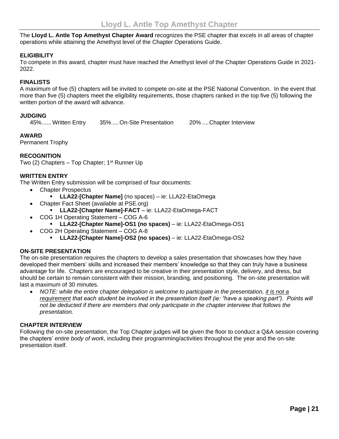<span id="page-20-0"></span>The **Lloyd L. Antle Top Amethyst Chapter Award** recognizes the PSE chapter that excels in all areas of chapter operations while attaining the Amethyst level of the Chapter Operations Guide.

#### **ELIGIBILITY**

To compete in this award, chapter must have reached the Amethyst level of the Chapter Operations Guide in 2021- 2022.

#### **FINALISTS**

A maximum of five (5) chapters will be invited to compete on-site at the PSE National Convention. In the event that more than five (5) chapters meet the eligibility requirements, those chapters ranked in the top five (5) following the written portion of the award will advance.

#### **JUDGING**

45%...... Written Entry 35% ....On-Site Presentation 20% ....Chapter Interview

#### **AWARD**

Permanent Trophy

#### **RECOGNITION**

Two (2) Chapters – Top Chapter; 1<sup>st</sup> Runner Up

#### **WRITTEN ENTRY**

The Written Entry submission will be comprised of four documents:

- Chapter Prospectus
	- **LLA22-[Chapter Name]** (no spaces) ie: LLA22-EtaOmega
- Chapter Fact Sheet (available at PSE.org)
	- **LLA22-[Chapter Name]-FACT**  ie: LLA22-EtaOmega-FACT
- COG 1H Operating Statement COG A-6
	- **LLA22-[Chapter Name]-OS1 (no spaces)**  ie: LLA22-EtaOmega-OS1
- COG 2H Operating Statement COG A-8
	- **LLA22-[Chapter Name]-OS2 (no spaces)**  ie: LLA22-EtaOmega-OS2

#### **ON-SITE PRESENTATION**

The on-site presentation requires the chapters to develop a sales presentation that showcases how they have developed their members' skills and increased their members' knowledge so that they can truly have a business advantage for life. Chapters are encouraged to be creative in their presentation style, delivery, and dress, but should be certain to remain consistent with their mission, branding, and positioning. The on-site presentation will last a maximum of 30 minutes.

• *NOTE: while the entire chapter delegation is welcome to participate in the presentation, it is not a requirement that each student be involved in the presentation itself (ie: "have a speaking part"). Points will not be deducted if there are members that only participate in the chapter interview that follows the presentation.*

#### **CHAPTER INTERVIEW**

Following the on-site presentation, the Top Chapter judges will be given the floor to conduct a Q&A session covering the chapters' *entire body of work*, including their programming/activities throughout the year and the on-site presentation itself.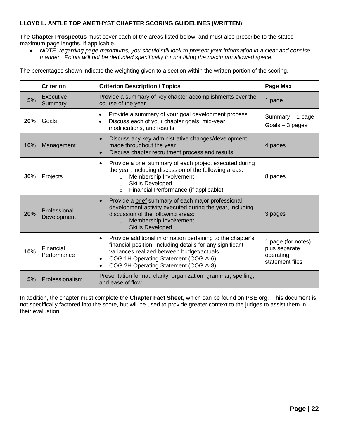#### **LLOYD L. ANTLE TOP AMETHYST CHAPTER SCORING GUIDELINES (WRITTEN)**

The **Chapter Prospectus** must cover each of the areas listed below, and must also prescribe to the stated maximum page lengths, if applicable.

• *NOTE: regarding page maximums, you should still look to present your information in a clear and concise manner. Points will not be deducted specifically for not filling the maximum allowed space.*

The percentages shown indicate the weighting given to a section within the written portion of the scoring.

|     | <b>Criterion</b>            | <b>Criterion Description / Topics</b>                                                                                                                                                                                                                                                        | Page Max                                                             |
|-----|-----------------------------|----------------------------------------------------------------------------------------------------------------------------------------------------------------------------------------------------------------------------------------------------------------------------------------------|----------------------------------------------------------------------|
| 5%  | Executive<br>Summary        | Provide a summary of key chapter accomplishments over the<br>course of the year                                                                                                                                                                                                              | 1 page                                                               |
| 20% | Goals                       | Provide a summary of your goal development process<br>Discuss each of your chapter goals, mid-year<br>٠<br>modifications, and results                                                                                                                                                        | Summary $-1$ page<br>Goals $-3$ pages                                |
| 10% | Management                  | Discuss any key administrative changes/development<br>$\bullet$<br>made throughout the year<br>Discuss chapter recruitment process and results                                                                                                                                               | 4 pages                                                              |
| 30% | Projects                    | Provide a brief summary of each project executed during<br>٠<br>the year, including discussion of the following areas:<br>Membership Involvement<br>$\Omega$<br><b>Skills Developed</b><br>$\circ$<br>Financial Performance (if applicable)<br>$\circ$                                       | 8 pages                                                              |
| 20% | Professional<br>Development | Provide a brief summary of each major professional<br>$\bullet$<br>development activity executed during the year, including<br>discussion of the following areas:<br>Membership Involvement<br>$\circ$<br><b>Skills Developed</b><br>$\circ$                                                 | 3 pages                                                              |
| 10% | Financial<br>Performance    | Provide additional information pertaining to the chapter's<br>$\bullet$<br>financial position, including details for any significant<br>variances realized between budget/actuals.<br>COG 1H Operating Statement (COG A-6)<br>$\bullet$<br>COG 2H Operating Statement (COG A-8)<br>$\bullet$ | 1 page (for notes),<br>plus separate<br>operating<br>statement files |
| 5%  | Professionalism             | Presentation format, clarity, organization, grammar, spelling,<br>and ease of flow.                                                                                                                                                                                                          |                                                                      |

In addition, the chapter must complete the **Chapter Fact Sheet**, which can be found on PSE.org. This document is not specifically factored into the score, but will be used to provide greater context to the judges to assist them in their evaluation.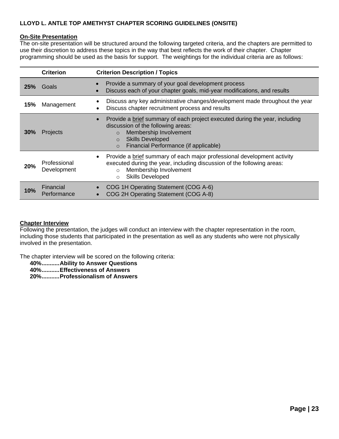#### **LLOYD L. ANTLE TOP AMETHYST CHAPTER SCORING GUIDELINES (ONSITE)**

#### **On-Site Presentation**

The on-site presentation will be structured around the following targeted criteria, and the chapters are permitted to use their discretion to address these topics in the way that best reflects the work of their chapter. Chapter programming should be used as the basis for support. The weightings for the individual criteria are as follows:

|     | <b>Criterion</b>            | <b>Criterion Description / Topics</b>                                                                                                                                                                                                                           |
|-----|-----------------------------|-----------------------------------------------------------------------------------------------------------------------------------------------------------------------------------------------------------------------------------------------------------------|
| 25% | Goals                       | Provide a summary of your goal development process<br>$\bullet$<br>Discuss each of your chapter goals, mid-year modifications, and results<br>$\bullet$                                                                                                         |
| 15% | Management                  | Discuss any key administrative changes/development made throughout the year<br>$\bullet$<br>Discuss chapter recruitment process and results<br>٠                                                                                                                |
| 30% | <b>Projects</b>             | Provide a brief summary of each project executed during the year, including<br>$\bullet$<br>discussion of the following areas:<br>Membership Involvement<br>$\Omega$<br><b>Skills Developed</b><br>$\Omega$<br>Financial Performance (if applicable)<br>$\circ$ |
| 20% | Professional<br>Development | Provide a brief summary of each major professional development activity<br>$\bullet$<br>executed during the year, including discussion of the following areas:<br>Membership Involvement<br>$\Omega$<br><b>Skills Developed</b><br>$\Omega$                     |
| 10% | Financial<br>Performance    | COG 1H Operating Statement (COG A-6)<br>COG 2H Operating Statement (COG A-8)                                                                                                                                                                                    |

#### **Chapter Interview**

Following the presentation, the judges will conduct an interview with the chapter representation in the room, including those students that participated in the presentation as well as any students who were not physically involved in the presentation.

The chapter interview will be scored on the following criteria:

**40%...........Ability to Answer Questions**

**40%...........Effectiveness of Answers**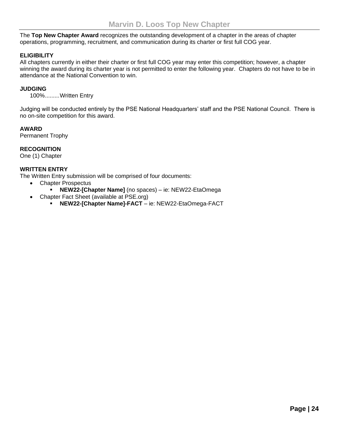<span id="page-23-0"></span>The **Top New Chapter Award** recognizes the outstanding development of a chapter in the areas of chapter operations, programming, recruitment, and communication during its charter or first full COG year.

#### **ELIGIBILITY**

All chapters currently in either their charter or first full COG year may enter this competition; however, a chapter winning the award during its charter year is not permitted to enter the following year. Chapters do not have to be in attendance at the National Convention to win.

#### **JUDGING**

100%.........Written Entry

Judging will be conducted entirely by the PSE National Headquarters' staff and the PSE National Council. There is no on-site competition for this award.

#### **AWARD**

Permanent Trophy

#### **RECOGNITION**

One (1) Chapter

#### **WRITTEN ENTRY**

The Written Entry submission will be comprised of four documents:

- Chapter Prospectus
	- **NEW22-[Chapter Name]** (no spaces) ie: NEW22-EtaOmega
- Chapter Fact Sheet (available at PSE.org)
	- **NEW22-[Chapter Name]-FACT** ie: NEW22-EtaOmega-FACT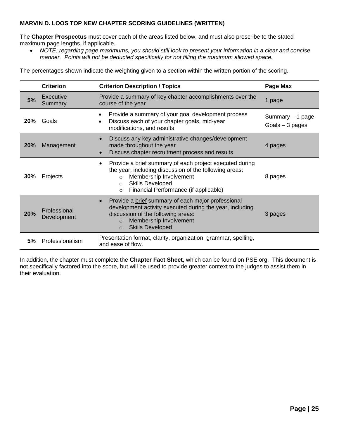#### **MARVIN D. LOOS TOP NEW CHAPTER SCORING GUIDELINES (WRITTEN)**

The **Chapter Prospectus** must cover each of the areas listed below, and must also prescribe to the stated maximum page lengths, if applicable.

• *NOTE: regarding page maximums, you should still look to present your information in a clear and concise manner. Points will not be deducted specifically for not filling the maximum allowed space.*

The percentages shown indicate the weighting given to a section within the written portion of the scoring.

|            | <b>Criterion</b>            | <b>Criterion Description / Topics</b>                                                                                                                                                                                                            | Page Max                             |
|------------|-----------------------------|--------------------------------------------------------------------------------------------------------------------------------------------------------------------------------------------------------------------------------------------------|--------------------------------------|
| 5%         | Executive<br>Summary        | Provide a summary of key chapter accomplishments over the<br>course of the year                                                                                                                                                                  | page<br>1                            |
| 20%        | Goals                       | Provide a summary of your goal development process<br>Discuss each of your chapter goals, mid-year<br>modifications, and results                                                                                                                 | Summary - 1 page<br>Goals $-3$ pages |
| <b>20%</b> | Management                  | Discuss any key administrative changes/development<br>$\bullet$<br>made throughout the year<br>Discuss chapter recruitment process and results                                                                                                   | 4 pages                              |
| 30%        | Projects                    | Provide a brief summary of each project executed during<br>the year, including discussion of the following areas:<br>Membership Involvement<br>$\circ$<br><b>Skills Developed</b><br>$\circ$<br>Financial Performance (if applicable)<br>$\circ$ | 8 pages                              |
| 20%        | Professional<br>Development | Provide a brief summary of each major professional<br>$\bullet$<br>development activity executed during the year, including<br>discussion of the following areas:<br>Membership Involvement<br>$\circ$<br><b>Skills Developed</b><br>$\circ$     | 3 pages                              |
| 5%         | Professionalism             | Presentation format, clarity, organization, grammar, spelling,<br>and ease of flow.                                                                                                                                                              |                                      |

In addition, the chapter must complete the **Chapter Fact Sheet**, which can be found on PSE.org. This document is not specifically factored into the score, but will be used to provide greater context to the judges to assist them in their evaluation.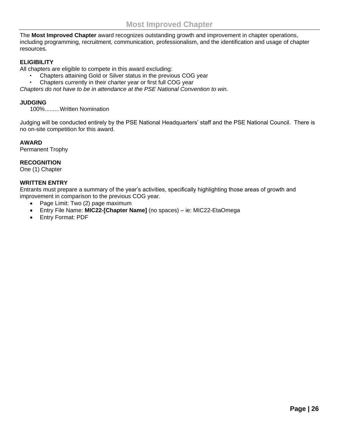<span id="page-25-0"></span>The **Most Improved Chapter** award recognizes outstanding growth and improvement in chapter operations, including programming, recruitment, communication, professionalism, and the identification and usage of chapter resources.

#### **ELIGIBILITY**

All chapters are eligible to compete in this award excluding:

- Chapters attaining Gold or Silver status in the previous COG year
- Chapters currently in their charter year or first full COG year

*Chapters do not have to be in attendance at the PSE National Convention to win.* 

#### **JUDGING**

100%.........Written Nomination

Judging will be conducted entirely by the PSE National Headquarters' staff and the PSE National Council. There is no on-site competition for this award.

#### **AWARD**

Permanent Trophy

#### **RECOGNITION**

One (1) Chapter

#### **WRITTEN ENTRY**

Entrants must prepare a summary of the year's activities, specifically highlighting those areas of growth and improvement in comparison to the previous COG year.

- Page Limit: Two (2) page maximum
- Entry File Name: **MIC22-[Chapter Name]** (no spaces) ie: MIC22-EtaOmega
- Entry Format: PDF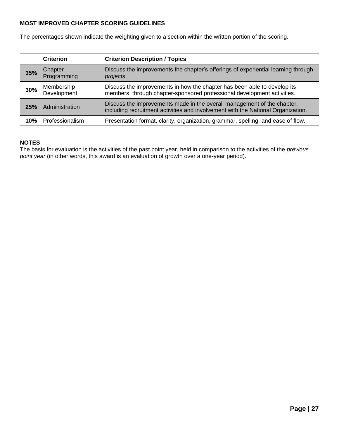#### **MOST IMPROVED CHAPTER SCORING GUIDELINES**

The percentages shown indicate the weighting given to a section within the written portion of the scoring.

|     | <b>Criterion</b>          | <b>Criterion Description / Topics</b>                                                                                                                       |
|-----|---------------------------|-------------------------------------------------------------------------------------------------------------------------------------------------------------|
| 35% | Chapter<br>Programming    | Discuss the improvements the chapter's offerings of experiential learning through<br>projects.                                                              |
| 30% | Membership<br>Development | Discuss the improvements in how the chapter has been able to develop its<br>members, through chapter-sponsored professional development activities.         |
| 25% | Administration            | Discuss the improvements made in the overall management of the chapter,<br>including recruitment activities and involvement with the National Organization. |
| 10% | Professionalism           | Presentation format, clarity, organization, grammar, spelling, and ease of flow.                                                                            |

#### **NOTES**

The basis for evaluation is the activities of the past point year, held in comparison to the activities of the *previous point year* (in other words, this award is an evaluation of growth over a one-year period).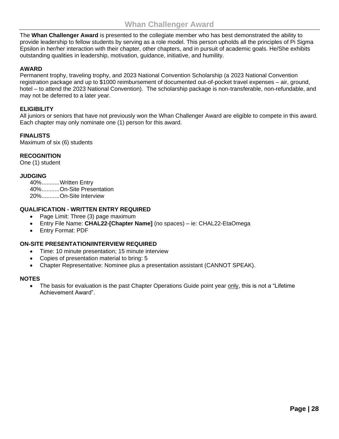<span id="page-27-0"></span>The **Whan Challenger Award** is presented to the collegiate member who has best demonstrated the ability to provide leadership to fellow students by serving as a role model. This person upholds all the principles of Pi Sigma Epsilon in her/her interaction with their chapter, other chapters, and in pursuit of academic goals. He/She exhibits outstanding qualities in leadership, motivation, guidance, initiative, and humility.

#### **AWARD**

Permanent trophy, traveling trophy, and 2023 National Convention Scholarship (a 2023 National Convention registration package and up to \$1000 reimbursement of documented out-of-pocket travel expenses – air, ground, hotel – to attend the 2023 National Convention). The scholarship package is non-transferable, non-refundable, and may not be deferred to a later year.

#### **ELIGIBILITY**

All juniors or seniors that have not previously won the Whan Challenger Award are eligible to compete in this award. Each chapter may only nominate one (1) person for this award.

#### **FINALISTS**

Maximum of six (6) students

#### **RECOGNITION**

One (1) student

#### **JUDGING**

40%...........Written Entry 40%...........On-Site Presentation 20%...........On-Site Interview

#### **QUALIFICATION - WRITTEN ENTRY REQUIRED**

- Page Limit: Three (3) page maximum
- Entry File Name: **CHAL22-[Chapter Name]** (no spaces) ie: CHAL22-EtaOmega
- Entry Format: PDF

#### **ON-SITE PRESENTATION/INTERVIEW REQUIRED**

- Time: 10 minute presentation; 15 minute interview
- Copies of presentation material to bring: 5
- Chapter Representative: Nominee plus a presentation assistant (CANNOT SPEAK).

#### **NOTES**

The basis for evaluation is the past Chapter Operations Guide point year only, this is not a "Lifetime" Achievement Award".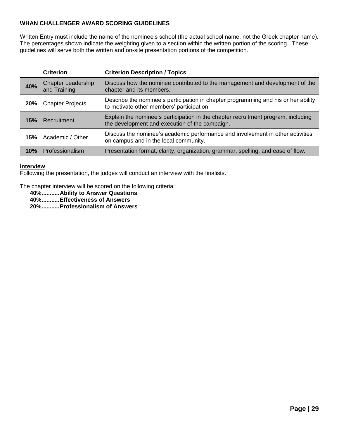#### **WHAN CHALLENGER AWARD SCORING GUIDELINES**

Written Entry must include the name of the nominee's school (the actual school name, not the Greek chapter name). The percentages shown indicate the weighting given to a section within the written portion of the scoring. These guidelines will serve both the written and on-site presentation portions of the competition.

|            | <b>Criterion</b>                          | <b>Criterion Description / Topics</b>                                                                                               |
|------------|-------------------------------------------|-------------------------------------------------------------------------------------------------------------------------------------|
| 40%        | <b>Chapter Leadership</b><br>and Training | Discuss how the nominee contributed to the management and development of the<br>chapter and its members.                            |
| <b>20%</b> | <b>Chapter Projects</b>                   | Describe the nominee's participation in chapter programming and his or her ability<br>to motivate other members' participation.     |
| 15%        | Recruitment                               | Explain the nominee's participation in the chapter recruitment program, including<br>the development and execution of the campaign. |
| 15%        | Academic / Other                          | Discuss the nominee's academic performance and involvement in other activities<br>on campus and in the local community.             |
| 10%        | Professionalism                           | Presentation format, clarity, organization, grammar, spelling, and ease of flow.                                                    |

#### **Interview**

Following the presentation, the judges will conduct an interview with the finalists.

The chapter interview will be scored on the following criteria:

**40%...........Ability to Answer Questions**

**40%...........Effectiveness of Answers**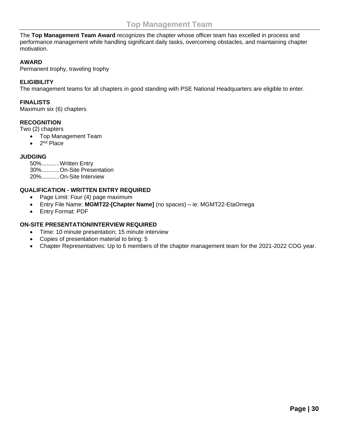<span id="page-29-0"></span>The **Top Management Team Award** recognizes the chapter whose officer team has excelled in process and performance management while handling significant daily tasks, overcoming obstacles, and maintaining chapter motivation.

#### **AWARD**

Permanent trophy, traveling trophy

#### **ELIGIBILITY**

The management teams for all chapters in good standing with PSE National Headquarters are eligible to enter.

#### **FINALISTS**

Maximum six (6) chapters

#### **RECOGNITION**

Two (2) chapters

- Top Management Team
- $\bullet$  2<sup>nd</sup> Place

#### **JUDGING**

| 50%Written Entry        |
|-------------------------|
| 30%On-Site Presentation |
| 20%On-Site Interview    |

#### **QUALIFICATION - WRITTEN ENTRY REQUIRED**

- Page Limit: Four (4) page maximum
- Entry File Name: **MGMT22-[Chapter Name]** (no spaces) ie: MGMT22-EtaOmega
- Entry Format: PDF

#### **ON-SITE PRESENTATION/INTERVIEW REQUIRED**

- Time: 10 minute presentation; 15 minute interview
- Copies of presentation material to bring: 5
- Chapter Representatives: Up to 6 members of the chapter management team for the 2021-2022 COG year.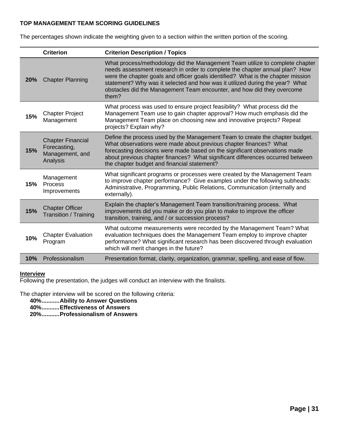#### **TOP MANAGEMENT TEAM SCORING GUIDELINES**

The percentages shown indicate the weighting given to a section within the written portion of the scoring.

|                                                                       | <b>Criterion</b>                                                        | <b>Criterion Description / Topics</b>                                                                                                                                                                                                                                                                                                                                                                              |
|-----------------------------------------------------------------------|-------------------------------------------------------------------------|--------------------------------------------------------------------------------------------------------------------------------------------------------------------------------------------------------------------------------------------------------------------------------------------------------------------------------------------------------------------------------------------------------------------|
| <b>20%</b>                                                            | <b>Chapter Planning</b>                                                 | What process/methodology did the Management Team utilize to complete chapter<br>needs assessment research in order to complete the chapter annual plan? How<br>were the chapter goals and officer goals identified? What is the chapter mission<br>statement? Why was it selected and how was it utilized during the year? What<br>obstacles did the Management Team encounter, and how did they overcome<br>them? |
| <b>Chapter Project</b><br>15%<br>Management<br>projects? Explain why? |                                                                         | What process was used to ensure project feasibility? What process did the<br>Management Team use to gain chapter approval? How much emphasis did the<br>Management Team place on choosing new and innovative projects? Repeat                                                                                                                                                                                      |
| 15%                                                                   | <b>Chapter Financial</b><br>Forecasting,<br>Management, and<br>Analysis | Define the process used by the Management Team to create the chapter budget.<br>What observations were made about previous chapter finances? What<br>forecasting decisions were made based on the significant observations made<br>about previous chapter finances? What significant differences occurred between<br>the chapter budget and financial statement?                                                   |
| Management<br>Process<br>15%<br>Improvements<br>externally).          |                                                                         | What significant programs or processes were created by the Management Team<br>to improve chapter performance? Give examples under the following subheads:<br>Administrative, Programming, Public Relations, Communication (internally and                                                                                                                                                                          |
| 15%                                                                   | <b>Chapter Officer</b><br><b>Transition / Training</b>                  | Explain the chapter's Management Team transition/training process. What<br>improvements did you make or do you plan to make to improve the officer<br>transition, training, and / or succession process?                                                                                                                                                                                                           |
| 10%                                                                   | <b>Chapter Evaluation</b><br>Program                                    | What outcome measurements were recorded by the Management Team? What<br>evaluation techniques does the Management Team employ to improve chapter<br>performance? What significant research has been discovered through evaluation<br>which will merit changes in the future?                                                                                                                                       |
| 10%                                                                   | Professionalism                                                         | Presentation format, clarity, organization, grammar, spelling, and ease of flow.                                                                                                                                                                                                                                                                                                                                   |

#### **Interview**

Following the presentation, the judges will conduct an interview with the finalists.

The chapter interview will be scored on the following criteria:

**40%...........Ability to Answer Questions**

**40%...........Effectiveness of Answers**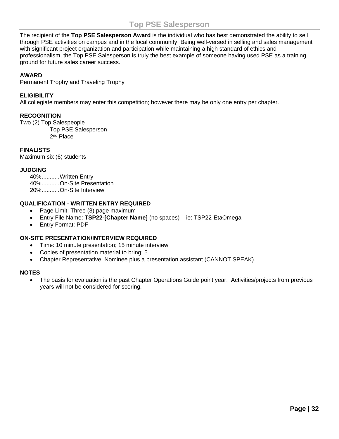<span id="page-31-0"></span>The recipient of the **Top PSE Salesperson Award** is the individual who has best demonstrated the ability to sell through PSE activities on campus and in the local community. Being well-versed in selling and sales management with significant project organization and participation while maintaining a high standard of ethics and professionalism, the Top PSE Salesperson is truly the best example of someone having used PSE as a training ground for future sales career success.

#### **AWARD**

Permanent Trophy and Traveling Trophy

#### **ELIGIBILITY**

All collegiate members may enter this competition; however there may be only one entry per chapter.

#### **RECOGNITION**

Two (2) Top Salespeople

- − Top PSE Salesperson
- − 2 nd Place

#### **FINALISTS**

Maximum six (6) students

#### **JUDGING**

40%...........Written Entry 40%...........On-Site Presentation 20%...........On-Site Interview

#### **QUALIFICATION - WRITTEN ENTRY REQUIRED**

- Page Limit: Three (3) page maximum
- Entry File Name: **TSP22-[Chapter Name]** (no spaces) ie: TSP22-EtaOmega
- Entry Format: PDF

#### **ON-SITE PRESENTATION/INTERVIEW REQUIRED**

- Time: 10 minute presentation; 15 minute interview
- Copies of presentation material to bring: 5
- Chapter Representative: Nominee plus a presentation assistant (CANNOT SPEAK).

#### **NOTES**

• The basis for evaluation is the past Chapter Operations Guide point year. Activities/projects from previous years will not be considered for scoring.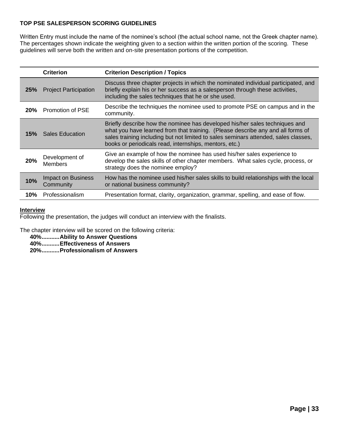#### **TOP PSE SALESPERSON SCORING GUIDELINES**

Written Entry must include the name of the nominee's school (the actual school name, not the Greek chapter name). The percentages shown indicate the weighting given to a section within the written portion of the scoring. These guidelines will serve both the written and on-site presentation portions of the competition.

|                                                                                         | <b>Criterion</b>                                                                                                                                                                                                                                           | <b>Criterion Description / Topics</b>                                                                                                                                                                                                                 |  |  |
|-----------------------------------------------------------------------------------------|------------------------------------------------------------------------------------------------------------------------------------------------------------------------------------------------------------------------------------------------------------|-------------------------------------------------------------------------------------------------------------------------------------------------------------------------------------------------------------------------------------------------------|--|--|
| <b>25%</b>                                                                              | Discuss three chapter projects in which the nominated individual participated, and<br>briefly explain his or her success as a salesperson through these activities,<br><b>Project Participation</b><br>including the sales techniques that he or she used. |                                                                                                                                                                                                                                                       |  |  |
| 20%                                                                                     | <b>Promotion of PSE</b>                                                                                                                                                                                                                                    | Describe the techniques the nominee used to promote PSE on campus and in the<br>community.                                                                                                                                                            |  |  |
| <b>Sales Education</b><br>15%<br>books or periodicals read, internships, mentors, etc.) |                                                                                                                                                                                                                                                            | Briefly describe how the nominee has developed his/her sales techniques and<br>what you have learned from that training. (Please describe any and all forms of<br>sales training including but not limited to sales seminars attended, sales classes, |  |  |
| 20%                                                                                     | Development of<br><b>Members</b>                                                                                                                                                                                                                           | Give an example of how the nominee has used his/her sales experience to<br>develop the sales skills of other chapter members. What sales cycle, process, or<br>strategy does the nominee employ?                                                      |  |  |
| 10%                                                                                     | <b>Impact on Business</b><br>How has the nominee used his/her sales skills to build relationships with the local<br>or national business community?<br>Community                                                                                           |                                                                                                                                                                                                                                                       |  |  |
| 10%                                                                                     | Professionalism                                                                                                                                                                                                                                            | Presentation format, clarity, organization, grammar, spelling, and ease of flow.                                                                                                                                                                      |  |  |

#### **Interview**

Following the presentation, the judges will conduct an interview with the finalists.

The chapter interview will be scored on the following criteria:

**40%...........Ability to Answer Questions**

**40%...........Effectiveness of Answers**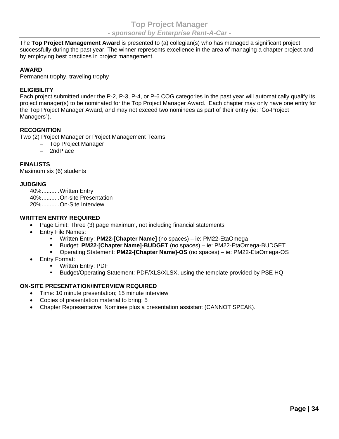<span id="page-33-0"></span>The **Top Project Management Award** is presented to (a) collegian(s) who has managed a significant project successfully during the past year. The winner represents excellence in the area of managing a chapter project and by employing best practices in project management.

#### **AWARD**

Permanent trophy, traveling trophy

#### **ELIGIBILITY**

Each project submitted under the P-2, P-3, P-4, or P-6 COG categories in the past year will automatically qualify its project manager(s) to be nominated for the Top Project Manager Award. Each chapter may only have one entry for the Top Project Manager Award, and may not exceed two nominees as part of their entry (ie: "Co-Project Managers").

#### **RECOGNITION**

Two (2) Project Manager or Project Management Teams

- − Top Project Manager
- − 2ndPlace

#### **FINALISTS**

Maximum six (6) students

#### **JUDGING**

40%...........Written Entry 40%...........On-site Presentation 20%...........On-Site Interview

#### **WRITTEN ENTRY REQUIRED**

- Page Limit: Three (3) page maximum, not including financial statements
- Entry File Names:
	- Written Entry: **PM22-[Chapter Name]** (no spaces) ie: PM22-EtaOmega
	- Budget: **PM22-[Chapter Name]-BUDGET** (no spaces) ie: PM22-EtaOmega-BUDGET
	- Operating Statement: **PM22-[Chapter Name]-OS** (no spaces) ie: PM22-EtaOmega-OS
- Entry Format:
	- **Written Entry: PDF**
	- Budget/Operating Statement: PDF/XLS/XLSX, using the template provided by PSE HQ

#### **ON-SITE PRESENTATION/INTERVIEW REQUIRED**

- Time: 10 minute presentation; 15 minute interview
- Copies of presentation material to bring: 5
- Chapter Representative: Nominee plus a presentation assistant (CANNOT SPEAK).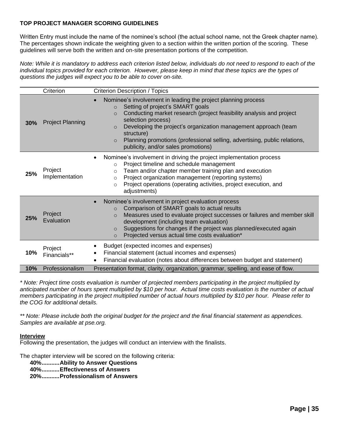#### **TOP PROJECT MANAGER SCORING GUIDELINES**

Written Entry must include the name of the nominee's school (the actual school name, not the Greek chapter name). The percentages shown indicate the weighting given to a section within the written portion of the scoring. These guidelines will serve both the written and on-site presentation portions of the competition.

*Note: While it is mandatory to address each criterion listed below, individuals do not need to respond to each of the individual topics provided for each criterion. However, please keep in mind that these topics are the types of questions the judges will expect you to be able to cover on-site.*

|     | Criterion                 | <b>Criterion Description / Topics</b>                                                                                                                                                                                                                                                                                                                                                                                                              |
|-----|---------------------------|----------------------------------------------------------------------------------------------------------------------------------------------------------------------------------------------------------------------------------------------------------------------------------------------------------------------------------------------------------------------------------------------------------------------------------------------------|
| 30% | <b>Project Planning</b>   | Nominee's involvement in leading the project planning process<br>Setting of project's SMART goals<br>$\Omega$<br>Conducting market research (project feasibility analysis and project<br>$\Omega$<br>selection process)<br>Developing the project's organization management approach (team<br>$\circ$<br>structure)<br>Planning promotions (professional selling, advertising, public relations,<br>$\circ$<br>publicity, and/or sales promotions) |
| 25% | Project<br>Implementation | Nominee's involvement in driving the project implementation process<br>Project timeline and schedule management<br>$\circ$<br>Team and/or chapter member training plan and execution<br>$\circ$<br>Project organization management (reporting systems)<br>$\circ$<br>Project operations (operating activities, project execution, and<br>$\circ$<br>adjustments)                                                                                   |
| 25% | Project<br>Evaluation     | Nominee's involvement in project evaluation process<br>$\bullet$<br>Comparison of SMART goals to actual results<br>$\circ$<br>Measures used to evaluate project successes or failures and member skill<br>$\circ$<br>development (including team evaluation)<br>Suggestions for changes if the project was planned/executed again<br>$\circ$<br>Projected versus actual time costs evaluation*<br>$\circ$                                          |
| 10% | Project<br>Financials**   | Budget (expected incomes and expenses)<br>Financial statement (actual incomes and expenses)<br>Financial evaluation (notes about differences between budget and statement)                                                                                                                                                                                                                                                                         |
| 10% | Professionalism           | Presentation format, clarity, organization, grammar, spelling, and ease of flow.                                                                                                                                                                                                                                                                                                                                                                   |

*\* Note: Project time costs evaluation is number of projected members participating in the project multiplied by anticipated number of hours spent multiplied by \$10 per hour. Actual time costs evaluation is the number of actual members participating in the project multiplied number of actual hours multiplied by \$10 per hour. Please refer to the COG for additional details.*

*\*\* Note: Please include both the original budget for the project and the final financial statement as appendices. Samples are available at pse.org.*

#### **Interview**

Following the presentation, the judges will conduct an interview with the finalists.

The chapter interview will be scored on the following criteria:

**40%...........Ability to Answer Questions**

**40%...........Effectiveness of Answers**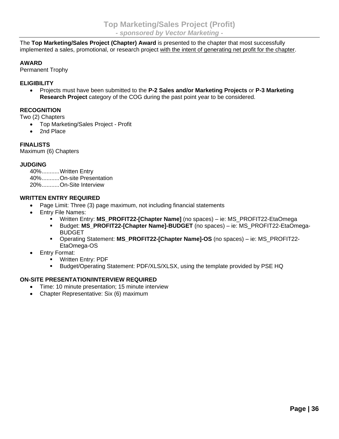<span id="page-35-0"></span>The **Top Marketing/Sales Project (Chapter) Award** is presented to the chapter that most successfully implemented a sales, promotional, or research project with the intent of generating net profit for the chapter.

#### **AWARD**

Permanent Trophy

#### **ELIGIBILITY**

• Projects must have been submitted to the **P-2 Sales and/or Marketing Projects** or **P-3 Marketing Research Project** category of the COG during the past point year to be considered.

#### **RECOGNITION**

Two (2) Chapters

- Top Marketing/Sales Project Profit
- 2nd Place

#### **FINALISTS**

Maximum (6) Chapters

#### **JUDGING**

40%...........Written Entry 40%...........On-site Presentation 20% On-Site Interview

#### **WRITTEN ENTRY REQUIRED**

- Page Limit: Three (3) page maximum, not including financial statements
- Entry File Names:
	- Written Entry: **MS\_PROFIT22-[Chapter Name]** (no spaces) ie: MS\_PROFIT22-EtaOmega
	- Budget: **MS\_PROFIT22-[Chapter Name]-BUDGET** (no spaces) ie: MS\_PROFIT22-EtaOmega-BUDGET
	- Operating Statement: **MS\_PROFIT22-[Chapter Name]-OS** (no spaces) ie: MS\_PROFIT22- EtaOmega-OS
- Entry Format:
	- Written Entry: PDF
	- Budget/Operating Statement: PDF/XLS/XLSX, using the template provided by PSE HQ

#### **ON-SITE PRESENTATION/INTERVIEW REQUIRED**

- Time: 10 minute presentation; 15 minute interview
- Chapter Representative: Six (6) maximum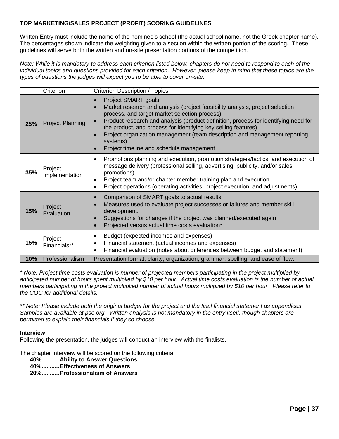#### **TOP MARKETING/SALES PROJECT (PROFIT) SCORING GUIDELINES**

Written Entry must include the name of the nominee's school (the actual school name, not the Greek chapter name). The percentages shown indicate the weighting given to a section within the written portion of the scoring. These guidelines will serve both the written and on-site presentation portions of the competition.

*Note: While it is mandatory to address each criterion listed below, chapters do not need to respond to each of the individual topics and questions provided for each criterion. However, please keep in mind that these topics are the types of questions the judges will expect you to be able to cover on-site.*

|     | Criterion                 | <b>Criterion Description / Topics</b>                                                                                                                                                                                                                                                                                                                                                                                                                |
|-----|---------------------------|------------------------------------------------------------------------------------------------------------------------------------------------------------------------------------------------------------------------------------------------------------------------------------------------------------------------------------------------------------------------------------------------------------------------------------------------------|
| 25% | <b>Project Planning</b>   | Project SMART goals<br>Market research and analysis (project feasibility analysis, project selection<br>process, and target market selection process)<br>Product research and analysis (product definition, process for identifying need for<br>the product, and process for identifying key selling features)<br>Project organization management (team description and management reporting<br>systems)<br>Project timeline and schedule management |
| 35% | Project<br>Implementation | Promotions planning and execution, promotion strategies/tactics, and execution of<br>message delivery (professional selling, advertising, publicity, and/or sales<br>promotions)<br>Project team and/or chapter member training plan and execution<br>Project operations (operating activities, project execution, and adjustments)                                                                                                                  |
| 15% | Project<br>Evaluation     | Comparison of SMART goals to actual results<br>Measures used to evaluate project successes or failures and member skill<br>development.<br>Suggestions for changes if the project was planned/executed again<br>Projected versus actual time costs evaluation*                                                                                                                                                                                       |
| 15% | Project<br>Financials**   | Budget (expected incomes and expenses)<br>Financial statement (actual incomes and expenses)<br>Financial evaluation (notes about differences between budget and statement)                                                                                                                                                                                                                                                                           |
| 10% | Professionalism           | Presentation format, clarity, organization, grammar, spelling, and ease of flow.                                                                                                                                                                                                                                                                                                                                                                     |

*\* Note: Project time costs evaluation is number of projected members participating in the project multiplied by anticipated number of hours spent multiplied by \$10 per hour. Actual time costs evaluation is the number of actual members participating in the project multiplied number of actual hours multiplied by \$10 per hour. Please refer to the COG for additional details.*

*\*\* Note: Please include both the original budget for the project and the final financial statement as appendices. Samples are available at pse.org. Written analysis is not mandatory in the entry itself, though chapters are permitted to explain their financials if they so choose.*

#### **Interview**

Following the presentation, the judges will conduct an interview with the finalists.

The chapter interview will be scored on the following criteria:

**40%...........Ability to Answer Questions**

**40%...........Effectiveness of Answers**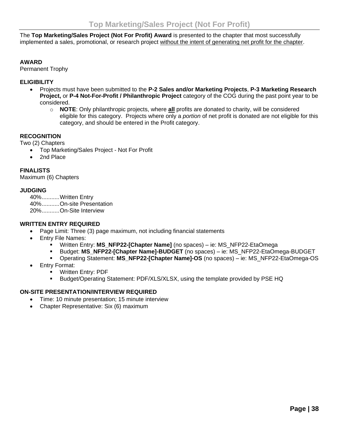<span id="page-37-0"></span>The **Top Marketing/Sales Project (Not For Profit) Award** is presented to the chapter that most successfully implemented a sales, promotional, or research project without the intent of generating net profit for the chapter.

#### **AWARD**

Permanent Trophy

#### **ELIGIBILITY**

- Projects must have been submitted to the **P-2 Sales and/or Marketing Projects**, **P-3 Marketing Research Project,** or **P-4 Not-For-Profit / Philanthropic Project** category of the COG during the past point year to be considered.
	- o **NOTE**: Only philanthropic projects, where **all** profits are donated to charity, will be considered eligible for this category. Projects where only a *portion* of net profit is donated are not eligible for this category, and should be entered in the Profit category.

#### **RECOGNITION**

Two (2) Chapters

- Top Marketing/Sales Project Not For Profit
- 2nd Place

#### **FINALISTS**

Maximum (6) Chapters

#### **JUDGING**

40%...........Written Entry 40%...........On-site Presentation 20%...........On-Site Interview

#### **WRITTEN ENTRY REQUIRED**

- Page Limit: Three (3) page maximum, not including financial statements
- Entry File Names:
	- Written Entry: **MS\_NFP22-[Chapter Name]** (no spaces) ie: MS\_NFP22-EtaOmega
	- Budget: **MS\_NFP22-[Chapter Name]-BUDGET** (no spaces) ie: MS\_NFP22-EtaOmega-BUDGET
	- Operating Statement: **MS\_NFP22-[Chapter Name]-OS** (no spaces) ie: MS\_NFP22-EtaOmega-OS
- Entry Format:
	- Written Entry: PDF
	- Budget/Operating Statement: PDF/XLS/XLSX, using the template provided by PSE HQ

#### **ON-SITE PRESENTATION/INTERVIEW REQUIRED**

- Time: 10 minute presentation; 15 minute interview
- Chapter Representative: Six (6) maximum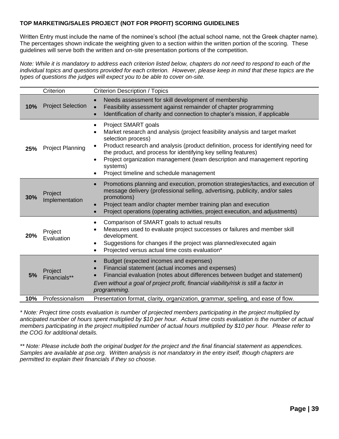#### **TOP MARKETING/SALES PROJECT (NOT FOR PROFIT) SCORING GUIDELINES**

Written Entry must include the name of the nominee's school (the actual school name, not the Greek chapter name). The percentages shown indicate the weighting given to a section within the written portion of the scoring. These guidelines will serve both the written and on-site presentation portions of the competition.

*Note: While it is mandatory to address each criterion listed below, chapters do not need to respond to each of the individual topics and questions provided for each criterion. However, please keep in mind that these topics are the types of questions the judges will expect you to be able to cover on-site.*

|     | Criterion<br><b>Criterion Description / Topics</b> |                                                                                                                                                                                                                                                                                                                                                                                                                          |  |  |
|-----|----------------------------------------------------|--------------------------------------------------------------------------------------------------------------------------------------------------------------------------------------------------------------------------------------------------------------------------------------------------------------------------------------------------------------------------------------------------------------------------|--|--|
| 10% | <b>Project Selection</b>                           | Needs assessment for skill development of membership<br>$\bullet$<br>Feasibility assessment against remainder of chapter programming<br>Identification of charity and connection to chapter's mission, if applicable<br>$\bullet$                                                                                                                                                                                        |  |  |
| 25% | <b>Project Planning</b>                            | Project SMART goals<br>Market research and analysis (project feasibility analysis and target market<br>selection process)<br>Product research and analysis (product definition, process for identifying need for<br>the product, and process for identifying key selling features)<br>Project organization management (team description and management reporting<br>systems)<br>Project timeline and schedule management |  |  |
| 30% | Project<br>Implementation                          | Promotions planning and execution, promotion strategies/tactics, and execution of<br>$\bullet$<br>message delivery (professional selling, advertising, publicity, and/or sales<br>promotions)<br>Project team and/or chapter member training plan and execution<br>Project operations (operating activities, project execution, and adjustments)<br>$\bullet$                                                            |  |  |
| 20% | Project<br>Evaluation                              | Comparison of SMART goals to actual results<br>Measures used to evaluate project successes or failures and member skill<br>development.<br>Suggestions for changes if the project was planned/executed again<br>Projected versus actual time costs evaluation*                                                                                                                                                           |  |  |
| 5%  | Project<br>Financials**                            | Budget (expected incomes and expenses)<br>$\bullet$<br>Financial statement (actual incomes and expenses)<br>Financial evaluation (notes about differences between budget and statement)<br>Even without a goal of project profit, financial viability/risk is still a factor in<br>programming.                                                                                                                          |  |  |
| 10% | Professionalism                                    | Presentation format, clarity, organization, grammar, spelling, and ease of flow.                                                                                                                                                                                                                                                                                                                                         |  |  |

*\* Note: Project time costs evaluation is number of projected members participating in the project multiplied by anticipated number of hours spent multiplied by \$10 per hour. Actual time costs evaluation is the number of actual members participating in the project multiplied number of actual hours multiplied by \$10 per hour. Please refer to the COG for additional details.*

*\*\* Note: Please include both the original budget for the project and the final financial statement as appendices. Samples are available at pse.org. Written analysis is not mandatory in the entry itself, though chapters are permitted to explain their financials if they so choose.*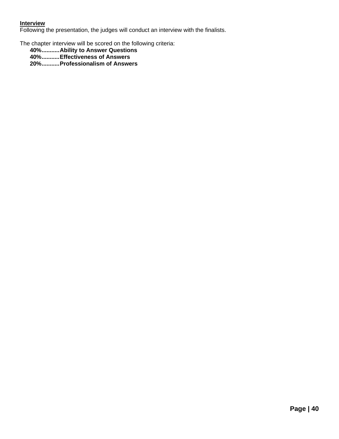#### **Interview**

Following the presentation, the judges will conduct an interview with the finalists.

The chapter interview will be scored on the following criteria:

- **40%...........Ability to Answer Questions**
- **40%...........Effectiveness of Answers**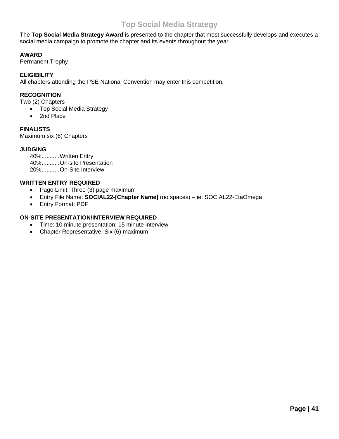<span id="page-40-0"></span>The **Top Social Media Strategy Award** is presented to the chapter that most successfully develops and executes a social media campaign to promote the chapter and its events throughout the year.

#### **AWARD**

Permanent Trophy

#### **ELIGIBILITY**

All chapters attending the PSE National Convention may enter this competition.

#### **RECOGNITION**

Two (2) Chapters

- Top Social Media Strategy
- 2nd Place

#### **FINALISTS**

Maximum six (6) Chapters

#### **JUDGING**

40%...........Written Entry 40%...........On-site Presentation 20%...........On-Site Interview

#### **WRITTEN ENTRY REQUIRED**

- Page Limit: Three (3) page maximum
- Entry File Name: **SOCIAL22-[Chapter Name]** (no spaces) ie: SOCIAL22-EtaOmega
- Entry Format: PDF

#### **ON-SITE PRESENTATION/INTERVIEW REQUIRED**

- Time: 10 minute presentation; 15 minute interview
- Chapter Representative: Six (6) maximum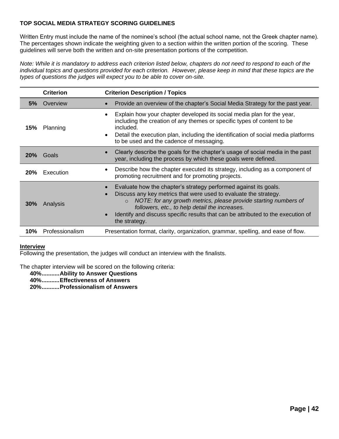#### **TOP SOCIAL MEDIA STRATEGY SCORING GUIDELINES**

Written Entry must include the name of the nominee's school (the actual school name, not the Greek chapter name). The percentages shown indicate the weighting given to a section within the written portion of the scoring. These guidelines will serve both the written and on-site presentation portions of the competition.

*Note: While it is mandatory to address each criterion listed below, chapters do not need to respond to each of the individual topics and questions provided for each criterion. However, please keep in mind that these topics are the types of questions the judges will expect you to be able to cover on-site.*

|                                                                                                                                                                                                                                                                                                                                              | <b>Criterion</b><br><b>Criterion Description / Topics</b> |                                                                                                                                                                                                                                                                                                                                                                             |  |  |  |  |
|----------------------------------------------------------------------------------------------------------------------------------------------------------------------------------------------------------------------------------------------------------------------------------------------------------------------------------------------|-----------------------------------------------------------|-----------------------------------------------------------------------------------------------------------------------------------------------------------------------------------------------------------------------------------------------------------------------------------------------------------------------------------------------------------------------------|--|--|--|--|
| 5%                                                                                                                                                                                                                                                                                                                                           | Overview                                                  | Provide an overview of the chapter's Social Media Strategy for the past year.                                                                                                                                                                                                                                                                                               |  |  |  |  |
| Explain how your chapter developed its social media plan for the year,<br>$\bullet$<br>including the creation of any themes or specific types of content to be<br>included.<br>15%<br>Planning<br>Detail the execution plan, including the identification of social media platforms<br>$\bullet$<br>to be used and the cadence of messaging. |                                                           |                                                                                                                                                                                                                                                                                                                                                                             |  |  |  |  |
| 20%                                                                                                                                                                                                                                                                                                                                          | Goals                                                     | Clearly describe the goals for the chapter's usage of social media in the past<br>year, including the process by which these goals were defined.                                                                                                                                                                                                                            |  |  |  |  |
| 20%                                                                                                                                                                                                                                                                                                                                          | Execution                                                 | Describe how the chapter executed its strategy, including as a component of<br>promoting recruitment and for promoting projects.                                                                                                                                                                                                                                            |  |  |  |  |
| 30%                                                                                                                                                                                                                                                                                                                                          | Analysis                                                  | Evaluate how the chapter's strategy performed against its goals.<br>Discuss any key metrics that were used to evaluate the strategy.<br>NOTE: for any growth metrics, please provide starting numbers of<br>$\Omega$<br>followers, etc., to help detail the increases.<br>Identify and discuss specific results that can be attributed to the execution of<br>the strategy. |  |  |  |  |
| 10%                                                                                                                                                                                                                                                                                                                                          | Professionalism                                           | Presentation format, clarity, organization, grammar, spelling, and ease of flow.                                                                                                                                                                                                                                                                                            |  |  |  |  |

#### **Interview**

Following the presentation, the judges will conduct an interview with the finalists.

The chapter interview will be scored on the following criteria:

**40%...........Ability to Answer Questions**

**40%...........Effectiveness of Answers**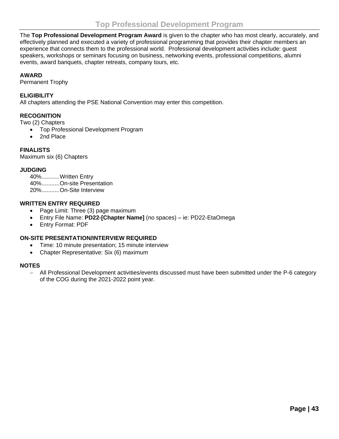<span id="page-42-0"></span>The **Top Professional Development Program Award** is given to the chapter who has most clearly, accurately, and effectively planned and executed a variety of professional programming that provides their chapter members an experience that connects them to the professional world. Professional development activities include: guest speakers, workshops or seminars focusing on business, networking events, professional competitions, alumni events, award banquets, chapter retreats, company tours, etc.

#### **AWARD**

Permanent Trophy

#### **ELIGIBILITY**

All chapters attending the PSE National Convention may enter this competition.

#### **RECOGNITION**

Two (2) Chapters

- Top Professional Development Program
- 2nd Place

#### **FINALISTS**

Maximum six (6) Chapters

#### **JUDGING**

40%...........Written Entry 40%...........On-site Presentation 20%...........On-Site Interview

#### **WRITTEN ENTRY REQUIRED**

- Page Limit: Three (3) page maximum
- Entry File Name: **PD22-[Chapter Name]** (no spaces) ie: PD22-EtaOmega
- Entry Format: PDF

#### **ON-SITE PRESENTATION/INTERVIEW REQUIRED**

- Time: 10 minute presentation; 15 minute interview
- Chapter Representative: Six (6) maximum

#### **NOTES**

− All Professional Development activities/events discussed must have been submitted under the P-6 category of the COG during the 2021-2022 point year.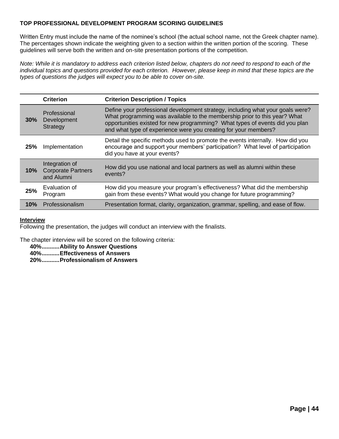#### **TOP PROFESSIONAL DEVELOPMENT PROGRAM SCORING GUIDELINES**

Written Entry must include the name of the nominee's school (the actual school name, not the Greek chapter name). The percentages shown indicate the weighting given to a section within the written portion of the scoring. These guidelines will serve both the written and on-site presentation portions of the competition.

*Note: While it is mandatory to address each criterion listed below, chapters do not need to respond to each of the individual topics and questions provided for each criterion. However, please keep in mind that these topics are the types of questions the judges will expect you to be able to cover on-site.*

|        | <b>Criterion</b>                                                                                                                                                                                                                                                                                                                                                    | <b>Criterion Description / Topics</b>                                                                                                                                                            |  |
|--------|---------------------------------------------------------------------------------------------------------------------------------------------------------------------------------------------------------------------------------------------------------------------------------------------------------------------------------------------------------------------|--------------------------------------------------------------------------------------------------------------------------------------------------------------------------------------------------|--|
|        | Define your professional development strategy, including what your goals were?<br>Professional<br>What programming was available to the membership prior to this year? What<br>Development<br>$30\%$<br>opportunities existed for new programming? What types of events did you plan<br>Strategy<br>and what type of experience were you creating for your members? |                                                                                                                                                                                                  |  |
| 25%    | Implementation                                                                                                                                                                                                                                                                                                                                                      | Detail the specific methods used to promote the events internally. How did you<br>encourage and support your members' participation? What level of participation<br>did you have at your events? |  |
| $10\%$ | Integration of<br>How did you use national and local partners as well as alumni within these<br><b>Corporate Partners</b><br>events?<br>and Alumni                                                                                                                                                                                                                  |                                                                                                                                                                                                  |  |
| 25%    | Evaluation of<br>Program                                                                                                                                                                                                                                                                                                                                            | How did you measure your program's effectiveness? What did the membership<br>gain from these events? What would you change for future programming?                                               |  |
| 10%    | Professionalism                                                                                                                                                                                                                                                                                                                                                     | Presentation format, clarity, organization, grammar, spelling, and ease of flow.                                                                                                                 |  |

#### **Interview**

Following the presentation, the judges will conduct an interview with the finalists.

The chapter interview will be scored on the following criteria:

**40%...........Ability to Answer Questions**

**40%...........Effectiveness of Answers**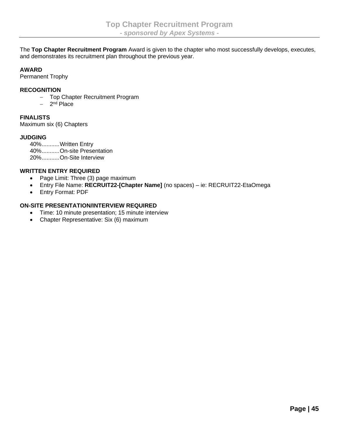<span id="page-44-0"></span>The **Top Chapter Recruitment Program** Award is given to the chapter who most successfully develops, executes, and demonstrates its recruitment plan throughout the previous year.

#### **AWARD**

Permanent Trophy

#### **RECOGNITION**

- − Top Chapter Recruitment Program
- − 2 nd Place

#### **FINALISTS**

Maximum six (6) Chapters

#### **JUDGING**

40%...........Written Entry 40%...........On-site Presentation 20%...........On-Site Interview

#### **WRITTEN ENTRY REQUIRED**

- Page Limit: Three (3) page maximum
- Entry File Name: **RECRUIT22-[Chapter Name]** (no spaces) ie: RECRUIT22-EtaOmega
- Entry Format: PDF

#### **ON-SITE PRESENTATION/INTERVIEW REQUIRED**

- Time: 10 minute presentation; 15 minute interview
- Chapter Representative: Six (6) maximum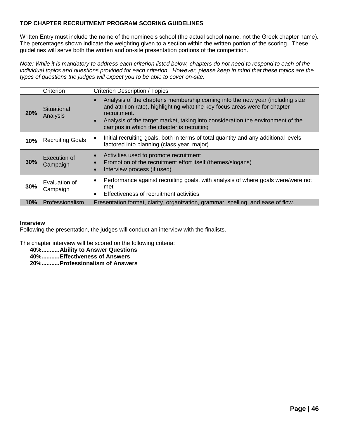#### **TOP CHAPTER RECRUITMENT PROGRAM SCORING GUIDELINES**

Written Entry must include the name of the nominee's school (the actual school name, not the Greek chapter name). The percentages shown indicate the weighting given to a section within the written portion of the scoring. These guidelines will serve both the written and on-site presentation portions of the competition.

*Note: While it is mandatory to address each criterion listed below, chapters do not need to respond to each of the individual topics and questions provided for each criterion. However, please keep in mind that these topics are the types of questions the judges will expect you to be able to cover on-site.*

|                                                                                                                                                                         | Criterion<br><b>Criterion Description / Topics</b>                                                                                                                           |                                                                                                                                                                                                                                                 |  |  |
|-------------------------------------------------------------------------------------------------------------------------------------------------------------------------|------------------------------------------------------------------------------------------------------------------------------------------------------------------------------|-------------------------------------------------------------------------------------------------------------------------------------------------------------------------------------------------------------------------------------------------|--|--|
| Situational<br>recruitment.<br>20%<br>Analysis<br>campus in which the chapter is recruiting                                                                             |                                                                                                                                                                              | Analysis of the chapter's membership coming into the new year (including size<br>and attrition rate), highlighting what the key focus areas were for chapter<br>Analysis of the target market, taking into consideration the environment of the |  |  |
| 10%                                                                                                                                                                     | Initial recruiting goals, both in terms of total quantity and any additional levels<br><b>Recruiting Goals</b><br>factored into planning (class year, major)                 |                                                                                                                                                                                                                                                 |  |  |
| Activities used to promote recruitment<br>Execution of<br>30%<br>Promotion of the recruitment effort itself (themes/slogans)<br>Campaign<br>Interview process (if used) |                                                                                                                                                                              |                                                                                                                                                                                                                                                 |  |  |
| 30%                                                                                                                                                                     | Performance against recruiting goals, with analysis of where goals were/were not<br>$\bullet$<br>Evaluation of<br>met<br>Campaign<br>Effectiveness of recruitment activities |                                                                                                                                                                                                                                                 |  |  |
| 10%                                                                                                                                                                     | Professionalism                                                                                                                                                              | Presentation format, clarity, organization, grammar, spelling, and ease of flow.                                                                                                                                                                |  |  |

#### **Interview**

Following the presentation, the judges will conduct an interview with the finalists.

The chapter interview will be scored on the following criteria:

**40%...........Ability to Answer Questions**

**40%...........Effectiveness of Answers**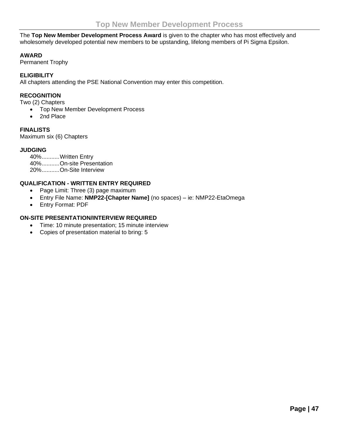<span id="page-46-0"></span>The **Top New Member Development Process Award** is given to the chapter who has most effectively and wholesomely developed potential new members to be upstanding, lifelong members of Pi Sigma Epsilon.

#### **AWARD**

Permanent Trophy

#### **ELIGIBILITY**

All chapters attending the PSE National Convention may enter this competition.

#### **RECOGNITION**

Two (2) Chapters

- Top New Member Development Process
- 2nd Place

#### **FINALISTS**

Maximum six (6) Chapters

#### **JUDGING**

40%...........Written Entry 40%...........On-site Presentation 20%...........On-Site Interview

#### **QUALIFICATION - WRITTEN ENTRY REQUIRED**

- Page Limit: Three (3) page maximum
- Entry File Name: **NMP22-[Chapter Name]** (no spaces) ie: NMP22-EtaOmega
- Entry Format: PDF

#### **ON-SITE PRESENTATION/INTERVIEW REQUIRED**

- Time: 10 minute presentation; 15 minute interview
- Copies of presentation material to bring: 5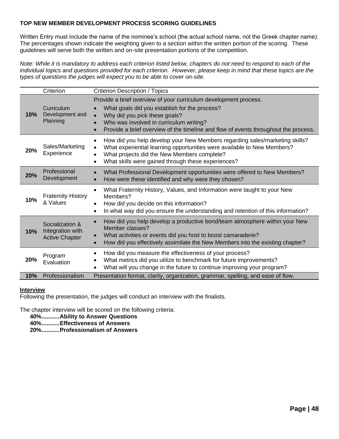#### **TOP NEW MEMBER DEVELOPMENT PROCESS SCORING GUIDELINES**

Written Entry must include the name of the nominee's school (the actual school name, not the Greek chapter name). The percentages shown indicate the weighting given to a section within the written portion of the scoring. These guidelines will serve both the written and on-site presentation portions of the competition.

*Note: While it is mandatory to address each criterion listed below, chapters do not need to respond to each of the individual topics and questions provided for each criterion. However, please keep in mind that these topics are the types of questions the judges will expect you to be able to cover on-site.*

|     | Criterion<br><b>Criterion Description / Topics</b>           |                                                                                                                                                                                                                                                                                      |  |
|-----|--------------------------------------------------------------|--------------------------------------------------------------------------------------------------------------------------------------------------------------------------------------------------------------------------------------------------------------------------------------|--|
| 10% | Curriculum<br>Development and<br>Planning                    | Provide a brief overview of your curriculum development process.<br>What goals did you establish for the process?<br>Why did you pick these goals?<br>Who was involved in curriculum writing?<br>Provide a brief overview of the timeline and flow of events throughout the process. |  |
| 20% | Sales/Marketing<br>Experience                                | How did you help develop your New Members regarding sales/marketing skills?<br>$\bullet$<br>What experiential learning opportunities were available to New Members?<br>What projects did the New Members complete?<br>What skills were gained through these experiences?             |  |
| 20% | Professional<br>Development                                  | What Professional Development opportunities were offered to New Members?<br>How were these identified and why were they chosen?                                                                                                                                                      |  |
| 10% | <b>Fraternity History</b><br>& Values                        | What Fraternity History, Values, and Information were taught to your New<br>Members?<br>How did you decide on this information?<br>In what way did you ensure the understanding and retention of this information?<br>$\bullet$                                                      |  |
| 10% | Socialization &<br>Integration with<br><b>Active Chapter</b> | How did you help develop a productive bond/team atmosphere within your New<br>Member classes?<br>What activities or events did you host to boost camaraderie?<br>How did you effectively assimilate the New Members into the existing chapter?                                       |  |
| 20% | Program<br>Evaluation                                        | How did you measure the effectiveness of your process?<br>What metrics did you utilize to benchmark for future improvements?<br>What will you change in the future to continue improving your program?                                                                               |  |
| 10% | Professionalism                                              | Presentation format, clarity, organization, grammar, spelling, and ease of flow.                                                                                                                                                                                                     |  |

#### **Interview**

Following the presentation, the judges will conduct an interview with the finalists.

The chapter interview will be scored on the following criteria:

**40%...........Ability to Answer Questions**

**40%...........Effectiveness of Answers**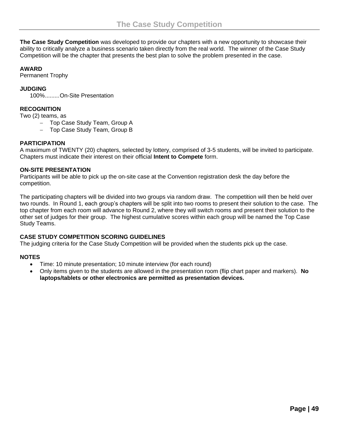<span id="page-48-0"></span>**The Case Study Competition** was developed to provide our chapters with a new opportunity to showcase their ability to critically analyze a business scenario taken directly from the real world. The winner of the Case Study Competition will be the chapter that presents the best plan to solve the problem presented in the case.

#### **AWARD**

Permanent Trophy

#### **JUDGING**

100%.........On-Site Presentation

#### **RECOGNITION**

Two (2) teams, as

- − Top Case Study Team, Group A
- − Top Case Study Team, Group B

#### **PARTICIPATION**

A maximum of TWENTY (20) chapters, selected by lottery, comprised of 3-5 students, will be invited to participate. Chapters must indicate their interest on their official **Intent to Compete** form.

#### **ON-SITE PRESENTATION**

Participants will be able to pick up the on-site case at the Convention registration desk the day before the competition.

The participating chapters will be divided into two groups via random draw. The competition will then be held over two rounds. In Round 1, each group's chapters will be split into two rooms to present their solution to the case. The top chapter from each room will advance to Round 2, where they will switch rooms and present their solution to the other set of judges for their group. The highest cumulative scores within each group will be named the Top Case Study Teams.

#### **CASE STUDY COMPETITION SCORING GUIDELINES**

The judging criteria for the Case Study Competition will be provided when the students pick up the case.

#### **NOTES**

- Time: 10 minute presentation; 10 minute interview (for each round)
- Only items given to the students are allowed in the presentation room (flip chart paper and markers). **No laptops/tablets or other electronics are permitted as presentation devices.**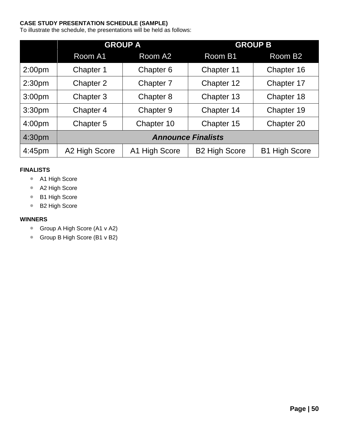#### **CASE STUDY PRESENTATION SCHEDULE (SAMPLE)**

To illustrate the schedule, the presentations will be held as follows:

|                    |                           | <b>GROUP A</b> | <b>GROUP B</b>       |                      |  |
|--------------------|---------------------------|----------------|----------------------|----------------------|--|
|                    | Room A1                   | Room A2        | Room B1              | Room B <sub>2</sub>  |  |
| 2:00 <sub>pm</sub> | Chapter 1                 | Chapter 6      | Chapter 11           | Chapter 16           |  |
| 2:30 <sub>pm</sub> | Chapter 2                 | Chapter 7      | Chapter 12           | Chapter 17           |  |
| 3:00 <sub>pm</sub> | Chapter 3                 | Chapter 8      | Chapter 13           | Chapter 18           |  |
| 3:30 <sub>pm</sub> | Chapter 4                 | Chapter 9      | Chapter 14           | Chapter 19           |  |
| 4:00pm             | Chapter 5                 | Chapter 10     | Chapter 15           | Chapter 20           |  |
| 4:30pm             | <b>Announce Finalists</b> |                |                      |                      |  |
| 4:45pm             | A2 High Score             | A1 High Score  | <b>B2 High Score</b> | <b>B1 High Score</b> |  |

#### **FINALISTS**

- A1 High Score
- A2 High Score
- B1 High Score
- B2 High Score

#### **WINNERS**

- Group A High Score (A1 v A2)
- Group B High Score (B1 v B2)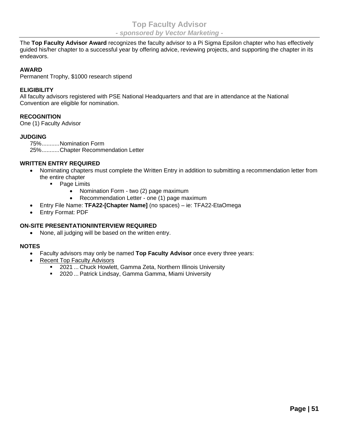<span id="page-50-0"></span>The **Top Faculty Advisor Award** recognizes the faculty advisor to a Pi Sigma Epsilon chapter who has effectively guided his/her chapter to a successful year by offering advice, reviewing projects, and supporting the chapter in its endeavors.

#### **AWARD**

Permanent Trophy, \$1000 research stipend

#### **ELIGIBILITY**

All faculty advisors registered with PSE National Headquarters and that are in attendance at the National Convention are eligible for nomination.

#### **RECOGNITION**

One (1) Faculty Advisor

#### **JUDGING**

75%...........Nomination Form 25%...........Chapter Recommendation Letter

#### **WRITTEN ENTRY REQUIRED**

- Nominating chapters must complete the Written Entry in addition to submitting a recommendation letter from the entire chapter
	- Page Limits
		- Nomination Form two (2) page maximum
		- Recommendation Letter one (1) page maximum
- Entry File Name: **TFA22-[Chapter Name]** (no spaces) ie: TFA22-EtaOmega
- Entry Format: PDF

#### **ON-SITE PRESENTATION/INTERVIEW REQUIRED**

• None, all judging will be based on the written entry.

#### **NOTES**

- Faculty advisors may only be named **Top Faculty Advisor** once every three years:
- **Recent Top Faculty Advisors** 
	- 2021 ... Chuck Howlett, Gamma Zeta, Northern Illinois University
	- 2020 ... Patrick Lindsay, Gamma Gamma, Miami University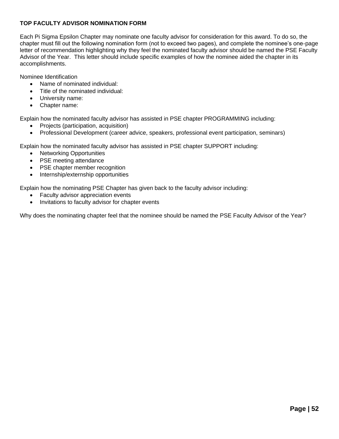#### **TOP FACULTY ADVISOR NOMINATION FORM**

Each Pi Sigma Epsilon Chapter may nominate one faculty advisor for consideration for this award. To do so, the chapter must fill out the following nomination form (not to exceed two pages), and complete the nominee's one-page letter of recommendation highlighting why they feel the nominated faculty advisor should be named the PSE Faculty Advisor of the Year. This letter should include specific examples of how the nominee aided the chapter in its accomplishments.

Nominee Identification

- Name of nominated individual:
- Title of the nominated individual:
- University name:
- Chapter name:

Explain how the nominated faculty advisor has assisted in PSE chapter PROGRAMMING including:

- Projects (participation, acquisition)
- Professional Development (career advice, speakers, professional event participation, seminars)

Explain how the nominated faculty advisor has assisted in PSE chapter SUPPORT including:

- Networking Opportunities
- PSE meeting attendance
- PSE chapter member recognition
- Internship/externship opportunities

Explain how the nominating PSE Chapter has given back to the faculty advisor including:

- Faculty advisor appreciation events
- Invitations to faculty advisor for chapter events

Why does the nominating chapter feel that the nominee should be named the PSE Faculty Advisor of the Year?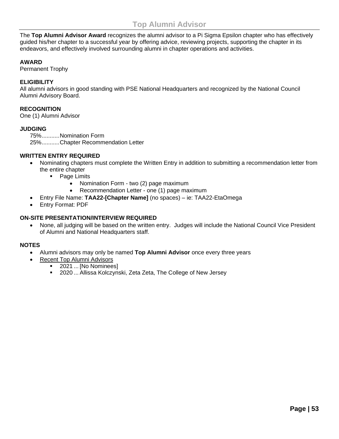<span id="page-52-0"></span>The **Top Alumni Advisor Award** recognizes the alumni advisor to a Pi Sigma Epsilon chapter who has effectively guided his/her chapter to a successful year by offering advice, reviewing projects, supporting the chapter in its endeavors, and effectively involved surrounding alumni in chapter operations and activities.

#### **AWARD**

Permanent Trophy

#### **ELIGIBILITY**

All alumni advisors in good standing with PSE National Headquarters and recognized by the National Council Alumni Advisory Board.

#### **RECOGNITION**

One (1) Alumni Advisor

#### **JUDGING**

75%...........Nomination Form 25%...........Chapter Recommendation Letter

#### **WRITTEN ENTRY REQUIRED**

- Nominating chapters must complete the Written Entry in addition to submitting a recommendation letter from the entire chapter
	- Page Limits
		- Nomination Form two (2) page maximum
		- Recommendation Letter one (1) page maximum
- Entry File Name: **TAA22-[Chapter Name]** (no spaces) ie: TAA22-EtaOmega
- Entry Format: PDF

#### **ON-SITE PRESENTATION/INTERVIEW REQUIRED**

• None, all judging will be based on the written entry. Judges will include the National Council Vice President of Alumni and National Headquarters staff.

#### **NOTES**

- Alumni advisors may only be named **Top Alumni Advisor** once every three years
	- Recent Top Alumni Advisors
		- 2021 ... [No Nominees]
		- 2020 ... Allissa Kolczynski, Zeta Zeta, The College of New Jersey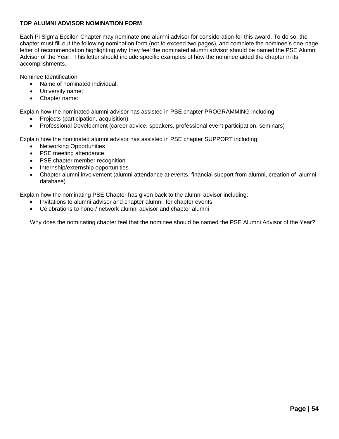#### **TOP ALUMNI ADVISOR NOMINATION FORM**

Each Pi Sigma Epsilon Chapter may nominate one alumni advisor for consideration for this award. To do so, the chapter must fill out the following nomination form (not to exceed two pages), and complete the nominee's one-page letter of recommendation highlighting why they feel the nominated alumni advisor should be named the PSE Alumni Advisor of the Year. This letter should include specific examples of how the nominee aided the chapter in its accomplishments.

Nominee Identification

- Name of nominated individual:
- University name:
- Chapter name:

Explain how the nominated alumni advisor has assisted in PSE chapter PROGRAMMING including:

- Projects (participation, acquisition)
- Professional Development (career advice, speakers, professional event participation, seminars)

Explain how the nominated alumni advisor has assisted in PSE chapter SUPPORT including:

- Networking Opportunities
- PSE meeting attendance
- **PSE** chapter member recognition
- Internship/externship opportunities
- Chapter alumni involvement (alumni attendance at events, financial support from alumni, creation of alumni database)

Explain how the nominating PSE Chapter has given back to the alumni advisor including:

- Invitations to alumni advisor and chapter alumni for chapter events
- Celebrations to honor/ network alumni advisor and chapter alumni

Why does the nominating chapter feel that the nominee should be named the PSE Alumni Advisor of the Year?